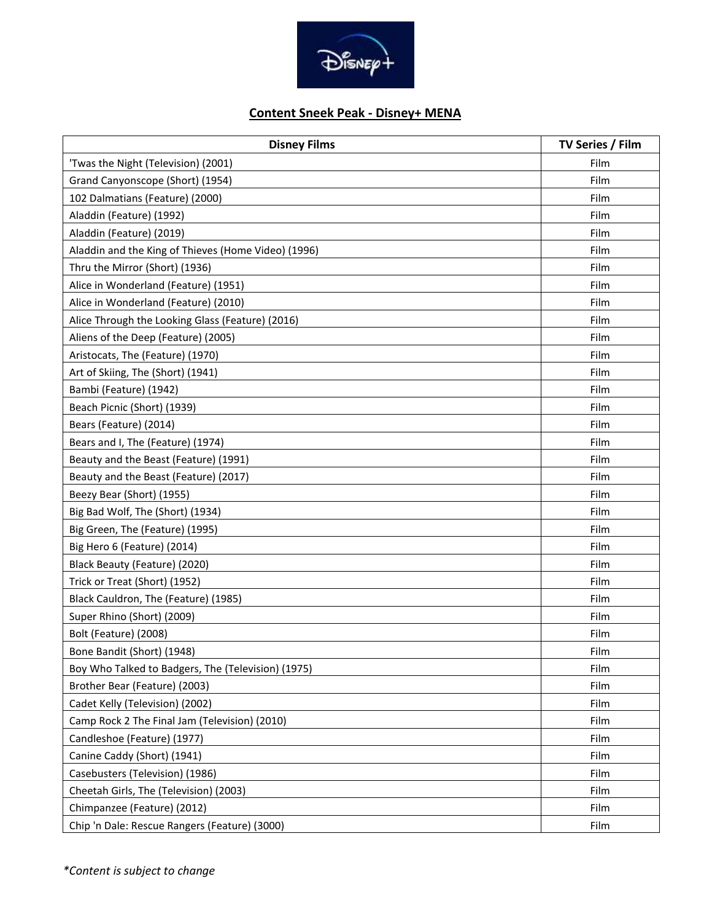

## **Content Sneek Peak - Disney+ MENA**

| <b>Disney Films</b>                                 | TV Series / Film |
|-----------------------------------------------------|------------------|
| 'Twas the Night (Television) (2001)                 | Film             |
| Grand Canyonscope (Short) (1954)                    | Film             |
| 102 Dalmatians (Feature) (2000)                     | Film             |
| Aladdin (Feature) (1992)                            | Film             |
| Aladdin (Feature) (2019)                            | Film             |
| Aladdin and the King of Thieves (Home Video) (1996) | Film             |
| Thru the Mirror (Short) (1936)                      | Film             |
| Alice in Wonderland (Feature) (1951)                | Film             |
| Alice in Wonderland (Feature) (2010)                | Film             |
| Alice Through the Looking Glass (Feature) (2016)    | Film             |
| Aliens of the Deep (Feature) (2005)                 | Film             |
| Aristocats, The (Feature) (1970)                    | Film             |
| Art of Skiing, The (Short) (1941)                   | Film             |
| Bambi (Feature) (1942)                              | Film             |
| Beach Picnic (Short) (1939)                         | Film             |
| Bears (Feature) (2014)                              | Film             |
| Bears and I, The (Feature) (1974)                   | Film             |
| Beauty and the Beast (Feature) (1991)               | Film             |
| Beauty and the Beast (Feature) (2017)               | Film             |
| Beezy Bear (Short) (1955)                           | Film             |
| Big Bad Wolf, The (Short) (1934)                    | Film             |
| Big Green, The (Feature) (1995)                     | Film             |
| Big Hero 6 (Feature) (2014)                         | Film             |
| Black Beauty (Feature) (2020)                       | Film             |
| Trick or Treat (Short) (1952)                       | Film             |
| Black Cauldron, The (Feature) (1985)                | Film             |
| Super Rhino (Short) (2009)                          | Film             |
| Bolt (Feature) (2008)                               | Film             |
| Bone Bandit (Short) (1948)                          | Film             |
| Boy Who Talked to Badgers, The (Television) (1975)  | Film             |
| Brother Bear (Feature) (2003)                       | Film             |
| Cadet Kelly (Television) (2002)                     | Film             |
| Camp Rock 2 The Final Jam (Television) (2010)       | Film             |
| Candleshoe (Feature) (1977)                         | Film             |
| Canine Caddy (Short) (1941)                         | Film             |
| Casebusters (Television) (1986)                     | Film             |
| Cheetah Girls, The (Television) (2003)              | Film             |
| Chimpanzee (Feature) (2012)                         | Film             |
| Chip 'n Dale: Rescue Rangers (Feature) (3000)       | Film             |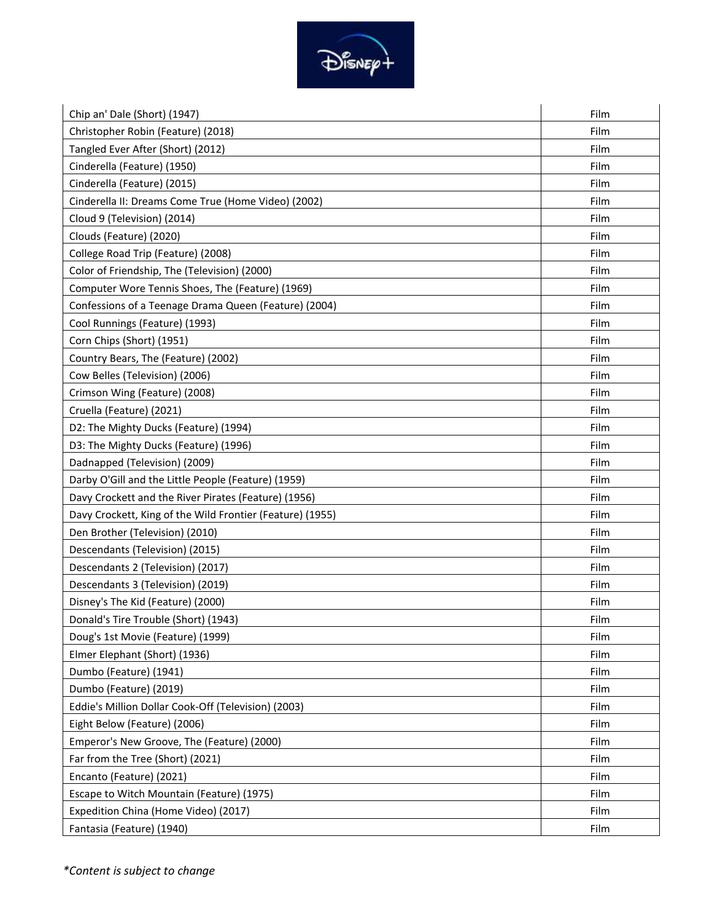

| Chip an' Dale (Short) (1947)                              | Film |
|-----------------------------------------------------------|------|
| Christopher Robin (Feature) (2018)                        | Film |
| Tangled Ever After (Short) (2012)                         | Film |
| Cinderella (Feature) (1950)                               | Film |
| Cinderella (Feature) (2015)                               | Film |
| Cinderella II: Dreams Come True (Home Video) (2002)       | Film |
| Cloud 9 (Television) (2014)                               | Film |
| Clouds (Feature) (2020)                                   | Film |
| College Road Trip (Feature) (2008)                        | Film |
| Color of Friendship, The (Television) (2000)              | Film |
| Computer Wore Tennis Shoes, The (Feature) (1969)          | Film |
| Confessions of a Teenage Drama Queen (Feature) (2004)     | Film |
| Cool Runnings (Feature) (1993)                            | Film |
| Corn Chips (Short) (1951)                                 | Film |
| Country Bears, The (Feature) (2002)                       | Film |
| Cow Belles (Television) (2006)                            | Film |
| Crimson Wing (Feature) (2008)                             | Film |
| Cruella (Feature) (2021)                                  | Film |
| D2: The Mighty Ducks (Feature) (1994)                     | Film |
| D3: The Mighty Ducks (Feature) (1996)                     | Film |
| Dadnapped (Television) (2009)                             | Film |
| Darby O'Gill and the Little People (Feature) (1959)       | Film |
| Davy Crockett and the River Pirates (Feature) (1956)      | Film |
| Davy Crockett, King of the Wild Frontier (Feature) (1955) | Film |
| Den Brother (Television) (2010)                           | Film |
| Descendants (Television) (2015)                           | Film |
| Descendants 2 (Television) (2017)                         | Film |
| Descendants 3 (Television) (2019)                         | Film |
| Disney's The Kid (Feature) (2000)                         | Film |
| Donald's Tire Trouble (Short) (1943)                      | Film |
| Doug's 1st Movie (Feature) (1999)                         | Film |
| Elmer Elephant (Short) (1936)                             | Film |
| Dumbo (Feature) (1941)                                    | Film |
| Dumbo (Feature) (2019)                                    | Film |
| Eddie's Million Dollar Cook-Off (Television) (2003)       | Film |
| Eight Below (Feature) (2006)                              | Film |
| Emperor's New Groove, The (Feature) (2000)                | Film |
| Far from the Tree (Short) (2021)                          | Film |
| Encanto (Feature) (2021)                                  | Film |
| Escape to Witch Mountain (Feature) (1975)                 | Film |
| Expedition China (Home Video) (2017)                      | Film |
| Fantasia (Feature) (1940)                                 | Film |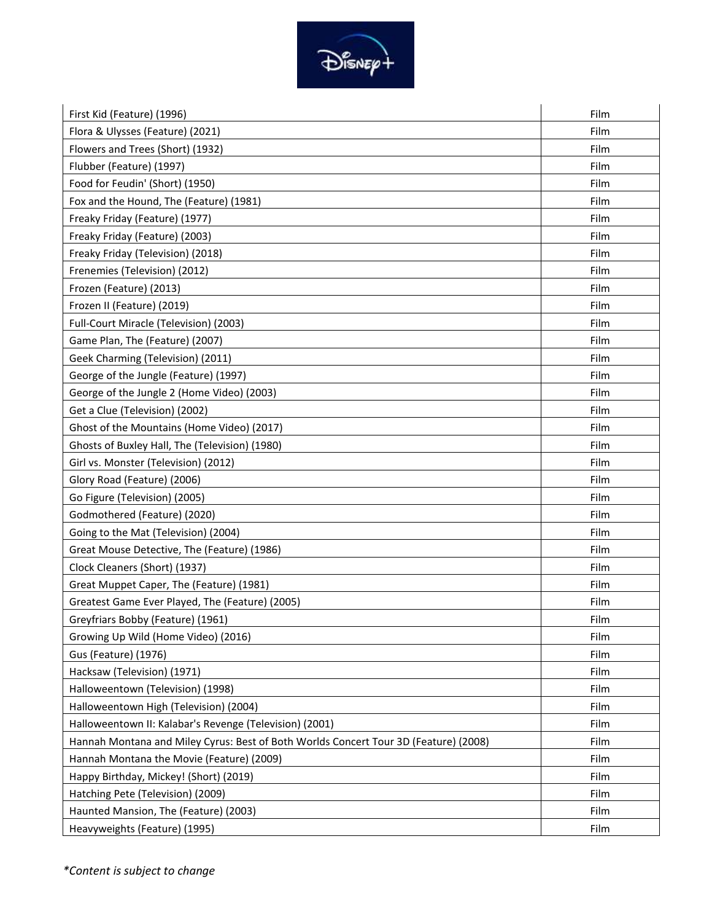

| First Kid (Feature) (1996)                                                           | Film |
|--------------------------------------------------------------------------------------|------|
| Flora & Ulysses (Feature) (2021)                                                     | Film |
| Flowers and Trees (Short) (1932)                                                     | Film |
| Flubber (Feature) (1997)                                                             | Film |
| Food for Feudin' (Short) (1950)                                                      | Film |
| Fox and the Hound, The (Feature) (1981)                                              | Film |
| Freaky Friday (Feature) (1977)                                                       | Film |
| Freaky Friday (Feature) (2003)                                                       | Film |
| Freaky Friday (Television) (2018)                                                    | Film |
| Frenemies (Television) (2012)                                                        | Film |
| Frozen (Feature) (2013)                                                              | Film |
| Frozen II (Feature) (2019)                                                           | Film |
| Full-Court Miracle (Television) (2003)                                               | Film |
| Game Plan, The (Feature) (2007)                                                      | Film |
| Geek Charming (Television) (2011)                                                    | Film |
| George of the Jungle (Feature) (1997)                                                | Film |
| George of the Jungle 2 (Home Video) (2003)                                           | Film |
| Get a Clue (Television) (2002)                                                       | Film |
| Ghost of the Mountains (Home Video) (2017)                                           | Film |
| Ghosts of Buxley Hall, The (Television) (1980)                                       | Film |
| Girl vs. Monster (Television) (2012)                                                 | Film |
| Glory Road (Feature) (2006)                                                          | Film |
| Go Figure (Television) (2005)                                                        | Film |
| Godmothered (Feature) (2020)                                                         | Film |
| Going to the Mat (Television) (2004)                                                 | Film |
| Great Mouse Detective, The (Feature) (1986)                                          | Film |
| Clock Cleaners (Short) (1937)                                                        | Film |
| Great Muppet Caper, The (Feature) (1981)                                             | Film |
| Greatest Game Ever Played, The (Feature) (2005)                                      | Film |
| Greyfriars Bobby (Feature) (1961)                                                    | Film |
| Growing Up Wild (Home Video) (2016)                                                  | Film |
| Gus (Feature) (1976)                                                                 | Film |
| Hacksaw (Television) (1971)                                                          | Film |
| Halloweentown (Television) (1998)                                                    | Film |
| Halloweentown High (Television) (2004)                                               | Film |
| Halloweentown II: Kalabar's Revenge (Television) (2001)                              | Film |
| Hannah Montana and Miley Cyrus: Best of Both Worlds Concert Tour 3D (Feature) (2008) | Film |
| Hannah Montana the Movie (Feature) (2009)                                            | Film |
| Happy Birthday, Mickey! (Short) (2019)                                               | Film |
| Hatching Pete (Television) (2009)                                                    | Film |
| Haunted Mansion, The (Feature) (2003)                                                | Film |
| Heavyweights (Feature) (1995)                                                        | Film |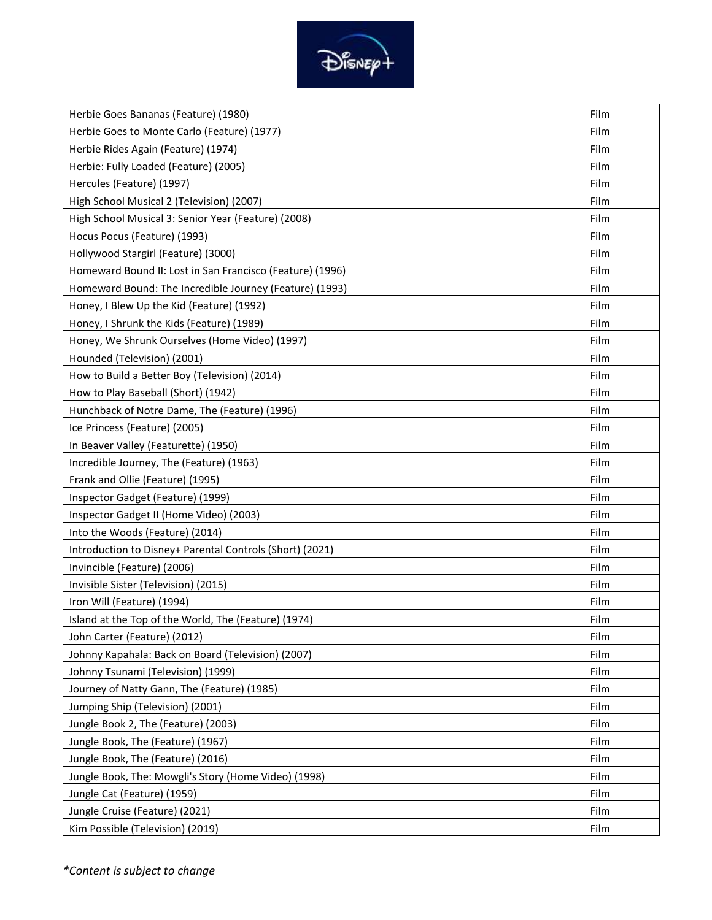

| Herbie Goes Bananas (Feature) (1980)                      | Film |
|-----------------------------------------------------------|------|
| Herbie Goes to Monte Carlo (Feature) (1977)               | Film |
| Herbie Rides Again (Feature) (1974)                       | Film |
| Herbie: Fully Loaded (Feature) (2005)                     | Film |
| Hercules (Feature) (1997)                                 | Film |
| High School Musical 2 (Television) (2007)                 | Film |
| High School Musical 3: Senior Year (Feature) (2008)       | Film |
| Hocus Pocus (Feature) (1993)                              | Film |
| Hollywood Stargirl (Feature) (3000)                       | Film |
| Homeward Bound II: Lost in San Francisco (Feature) (1996) | Film |
| Homeward Bound: The Incredible Journey (Feature) (1993)   | Film |
| Honey, I Blew Up the Kid (Feature) (1992)                 | Film |
| Honey, I Shrunk the Kids (Feature) (1989)                 | Film |
| Honey, We Shrunk Ourselves (Home Video) (1997)            | Film |
| Hounded (Television) (2001)                               | Film |
| How to Build a Better Boy (Television) (2014)             | Film |
| How to Play Baseball (Short) (1942)                       | Film |
| Hunchback of Notre Dame, The (Feature) (1996)             | Film |
| Ice Princess (Feature) (2005)                             | Film |
| In Beaver Valley (Featurette) (1950)                      | Film |
| Incredible Journey, The (Feature) (1963)                  | Film |
| Frank and Ollie (Feature) (1995)                          | Film |
| Inspector Gadget (Feature) (1999)                         | Film |
| Inspector Gadget II (Home Video) (2003)                   | Film |
| Into the Woods (Feature) (2014)                           | Film |
| Introduction to Disney+ Parental Controls (Short) (2021)  | Film |
| Invincible (Feature) (2006)                               | Film |
| Invisible Sister (Television) (2015)                      | Film |
| Iron Will (Feature) (1994)                                | Film |
| Island at the Top of the World, The (Feature) (1974)      | Film |
| John Carter (Feature) (2012)                              | Film |
| Johnny Kapahala: Back on Board (Television) (2007)        | Film |
| Johnny Tsunami (Television) (1999)                        | Film |
| Journey of Natty Gann, The (Feature) (1985)               | Film |
| Jumping Ship (Television) (2001)                          | Film |
| Jungle Book 2, The (Feature) (2003)                       | Film |
| Jungle Book, The (Feature) (1967)                         | Film |
| Jungle Book, The (Feature) (2016)                         | Film |
| Jungle Book, The: Mowgli's Story (Home Video) (1998)      | Film |
| Jungle Cat (Feature) (1959)                               | Film |
| Jungle Cruise (Feature) (2021)                            | Film |
| Kim Possible (Television) (2019)                          | Film |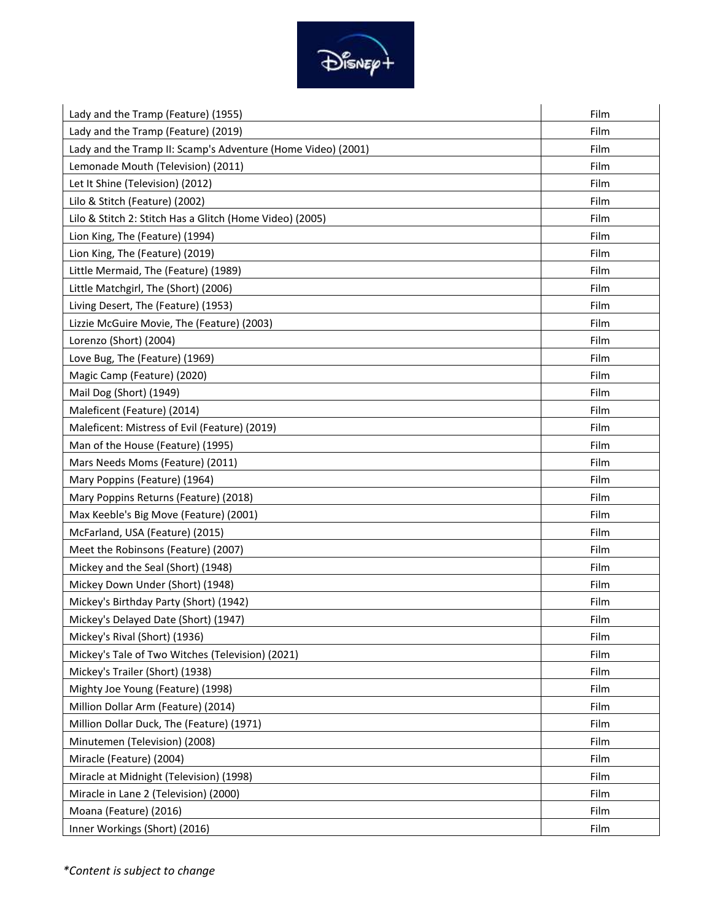

| Lady and the Tramp (Feature) (1955)                          | Film |
|--------------------------------------------------------------|------|
| Lady and the Tramp (Feature) (2019)                          | Film |
| Lady and the Tramp II: Scamp's Adventure (Home Video) (2001) | Film |
| Lemonade Mouth (Television) (2011)                           | Film |
| Let It Shine (Television) (2012)                             | Film |
| Lilo & Stitch (Feature) (2002)                               | Film |
| Lilo & Stitch 2: Stitch Has a Glitch (Home Video) (2005)     | Film |
| Lion King, The (Feature) (1994)                              | Film |
| Lion King, The (Feature) (2019)                              | Film |
| Little Mermaid, The (Feature) (1989)                         | Film |
| Little Matchgirl, The (Short) (2006)                         | Film |
| Living Desert, The (Feature) (1953)                          | Film |
| Lizzie McGuire Movie, The (Feature) (2003)                   | Film |
| Lorenzo (Short) (2004)                                       | Film |
| Love Bug, The (Feature) (1969)                               | Film |
| Magic Camp (Feature) (2020)                                  | Film |
| Mail Dog (Short) (1949)                                      | Film |
| Maleficent (Feature) (2014)                                  | Film |
| Maleficent: Mistress of Evil (Feature) (2019)                | Film |
| Man of the House (Feature) (1995)                            | Film |
| Mars Needs Moms (Feature) (2011)                             | Film |
| Mary Poppins (Feature) (1964)                                | Film |
| Mary Poppins Returns (Feature) (2018)                        | Film |
| Max Keeble's Big Move (Feature) (2001)                       | Film |
| McFarland, USA (Feature) (2015)                              | Film |
| Meet the Robinsons (Feature) (2007)                          | Film |
| Mickey and the Seal (Short) (1948)                           | Film |
| Mickey Down Under (Short) (1948)                             | Film |
| Mickey's Birthday Party (Short) (1942)                       | Film |
| Mickey's Delayed Date (Short) (1947)                         | Film |
| Mickey's Rival (Short) (1936)                                | Film |
| Mickey's Tale of Two Witches (Television) (2021)             | Film |
| Mickey's Trailer (Short) (1938)                              | Film |
| Mighty Joe Young (Feature) (1998)                            | Film |
| Million Dollar Arm (Feature) (2014)                          | Film |
| Million Dollar Duck, The (Feature) (1971)                    | Film |
| Minutemen (Television) (2008)                                | Film |
| Miracle (Feature) (2004)                                     | Film |
| Miracle at Midnight (Television) (1998)                      | Film |
| Miracle in Lane 2 (Television) (2000)                        | Film |
| Moana (Feature) (2016)                                       | Film |
| Inner Workings (Short) (2016)                                | Film |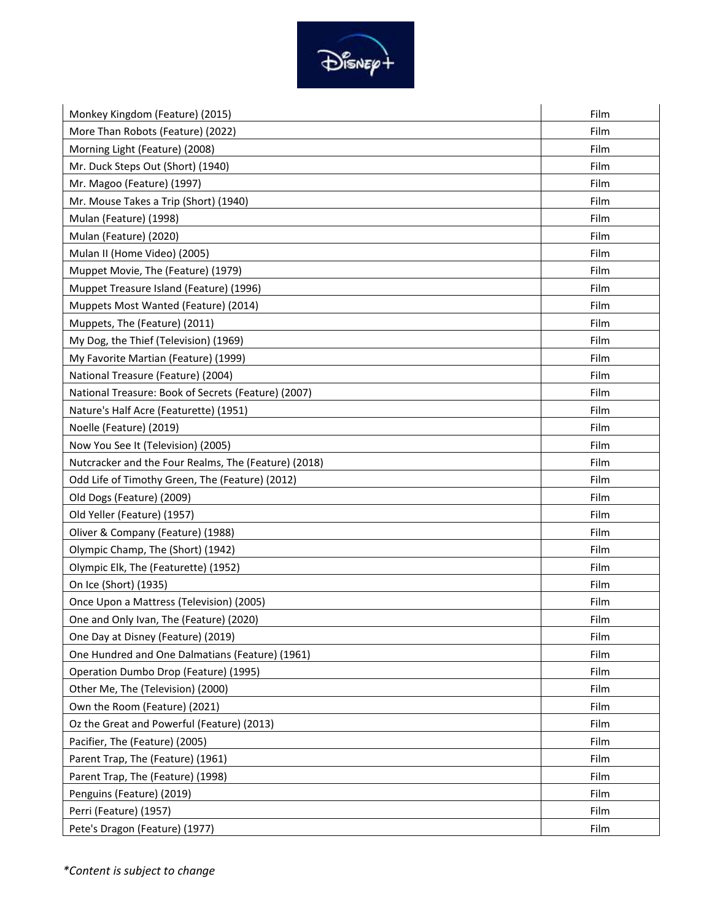

| Monkey Kingdom (Feature) (2015)                      | Film |
|------------------------------------------------------|------|
| More Than Robots (Feature) (2022)                    | Film |
| Morning Light (Feature) (2008)                       | Film |
| Mr. Duck Steps Out (Short) (1940)                    | Film |
| Mr. Magoo (Feature) (1997)                           | Film |
| Mr. Mouse Takes a Trip (Short) (1940)                | Film |
| Mulan (Feature) (1998)                               | Film |
| Mulan (Feature) (2020)                               | Film |
| Mulan II (Home Video) (2005)                         | Film |
| Muppet Movie, The (Feature) (1979)                   | Film |
| Muppet Treasure Island (Feature) (1996)              | Film |
| Muppets Most Wanted (Feature) (2014)                 | Film |
| Muppets, The (Feature) (2011)                        | Film |
| My Dog, the Thief (Television) (1969)                | Film |
| My Favorite Martian (Feature) (1999)                 | Film |
| National Treasure (Feature) (2004)                   | Film |
| National Treasure: Book of Secrets (Feature) (2007)  | Film |
| Nature's Half Acre (Featurette) (1951)               | Film |
| Noelle (Feature) (2019)                              | Film |
| Now You See It (Television) (2005)                   | Film |
| Nutcracker and the Four Realms, The (Feature) (2018) | Film |
| Odd Life of Timothy Green, The (Feature) (2012)      | Film |
| Old Dogs (Feature) (2009)                            | Film |
| Old Yeller (Feature) (1957)                          | Film |
| Oliver & Company (Feature) (1988)                    | Film |
| Olympic Champ, The (Short) (1942)                    | Film |
| Olympic Elk, The (Featurette) (1952)                 | Film |
| On Ice (Short) (1935)                                | Film |
| Once Upon a Mattress (Television) (2005)             | Film |
| One and Only Ivan, The (Feature) (2020)              | Film |
| One Day at Disney (Feature) (2019)                   | Film |
| One Hundred and One Dalmatians (Feature) (1961)      | Film |
| Operation Dumbo Drop (Feature) (1995)                | Film |
| Other Me, The (Television) (2000)                    | Film |
| Own the Room (Feature) (2021)                        | Film |
| Oz the Great and Powerful (Feature) (2013)           | Film |
| Pacifier, The (Feature) (2005)                       | Film |
| Parent Trap, The (Feature) (1961)                    | Film |
| Parent Trap, The (Feature) (1998)                    | Film |
| Penguins (Feature) (2019)                            | Film |
| Perri (Feature) (1957)                               | Film |
| Pete's Dragon (Feature) (1977)                       | Film |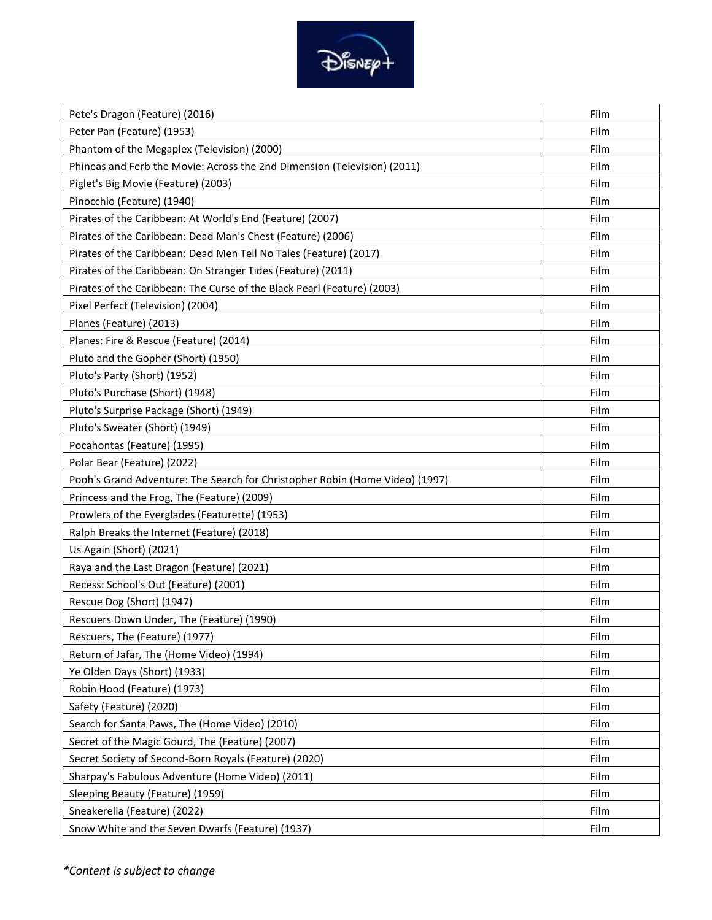

| Pete's Dragon (Feature) (2016)                                               | Film |
|------------------------------------------------------------------------------|------|
| Peter Pan (Feature) (1953)                                                   | Film |
| Phantom of the Megaplex (Television) (2000)                                  | Film |
| Phineas and Ferb the Movie: Across the 2nd Dimension (Television) (2011)     | Film |
| Piglet's Big Movie (Feature) (2003)                                          | Film |
| Pinocchio (Feature) (1940)                                                   | Film |
| Pirates of the Caribbean: At World's End (Feature) (2007)                    | Film |
| Pirates of the Caribbean: Dead Man's Chest (Feature) (2006)                  | Film |
| Pirates of the Caribbean: Dead Men Tell No Tales (Feature) (2017)            | Film |
| Pirates of the Caribbean: On Stranger Tides (Feature) (2011)                 | Film |
| Pirates of the Caribbean: The Curse of the Black Pearl (Feature) (2003)      | Film |
| Pixel Perfect (Television) (2004)                                            | Film |
| Planes (Feature) (2013)                                                      | Film |
| Planes: Fire & Rescue (Feature) (2014)                                       | Film |
| Pluto and the Gopher (Short) (1950)                                          | Film |
| Pluto's Party (Short) (1952)                                                 | Film |
| Pluto's Purchase (Short) (1948)                                              | Film |
| Pluto's Surprise Package (Short) (1949)                                      | Film |
| Pluto's Sweater (Short) (1949)                                               | Film |
| Pocahontas (Feature) (1995)                                                  | Film |
| Polar Bear (Feature) (2022)                                                  | Film |
| Pooh's Grand Adventure: The Search for Christopher Robin (Home Video) (1997) | Film |
| Princess and the Frog, The (Feature) (2009)                                  | Film |
| Prowlers of the Everglades (Featurette) (1953)                               | Film |
| Ralph Breaks the Internet (Feature) (2018)                                   | Film |
| Us Again (Short) (2021)                                                      | Film |
| Raya and the Last Dragon (Feature) (2021)                                    | Film |
| Recess: School's Out (Feature) (2001)                                        | Film |
| Rescue Dog (Short) (1947)                                                    | Film |
| Rescuers Down Under, The (Feature) (1990)                                    | Film |
| Rescuers, The (Feature) (1977)                                               | Film |
| Return of Jafar, The (Home Video) (1994)                                     | Film |
| Ye Olden Days (Short) (1933)                                                 | Film |
| Robin Hood (Feature) (1973)                                                  | Film |
| Safety (Feature) (2020)                                                      | Film |
| Search for Santa Paws, The (Home Video) (2010)                               | Film |
| Secret of the Magic Gourd, The (Feature) (2007)                              | Film |
| Secret Society of Second-Born Royals (Feature) (2020)                        | Film |
| Sharpay's Fabulous Adventure (Home Video) (2011)                             | Film |
| Sleeping Beauty (Feature) (1959)                                             | Film |
| Sneakerella (Feature) (2022)                                                 | Film |
| Snow White and the Seven Dwarfs (Feature) (1937)                             | Film |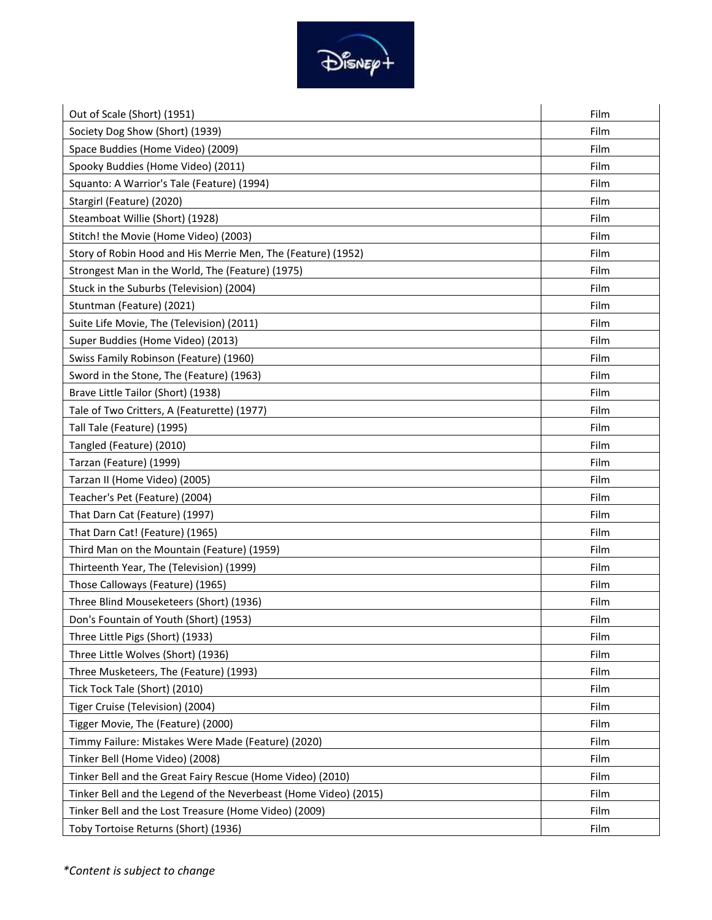

| Out of Scale (Short) (1951)                                      | Film |
|------------------------------------------------------------------|------|
| Society Dog Show (Short) (1939)                                  | Film |
| Space Buddies (Home Video) (2009)                                | Film |
| Spooky Buddies (Home Video) (2011)                               | Film |
| Squanto: A Warrior's Tale (Feature) (1994)                       | Film |
| Stargirl (Feature) (2020)                                        | Film |
| Steamboat Willie (Short) (1928)                                  | Film |
| Stitch! the Movie (Home Video) (2003)                            | Film |
| Story of Robin Hood and His Merrie Men, The (Feature) (1952)     | Film |
| Strongest Man in the World, The (Feature) (1975)                 | Film |
| Stuck in the Suburbs (Television) (2004)                         | Film |
| Stuntman (Feature) (2021)                                        | Film |
| Suite Life Movie, The (Television) (2011)                        | Film |
| Super Buddies (Home Video) (2013)                                | Film |
| Swiss Family Robinson (Feature) (1960)                           | Film |
| Sword in the Stone, The (Feature) (1963)                         | Film |
| Brave Little Tailor (Short) (1938)                               | Film |
| Tale of Two Critters, A (Featurette) (1977)                      | Film |
| Tall Tale (Feature) (1995)                                       | Film |
| Tangled (Feature) (2010)                                         | Film |
| Tarzan (Feature) (1999)                                          | Film |
| Tarzan II (Home Video) (2005)                                    | Film |
| Teacher's Pet (Feature) (2004)                                   | Film |
| That Darn Cat (Feature) (1997)                                   | Film |
| That Darn Cat! (Feature) (1965)                                  | Film |
| Third Man on the Mountain (Feature) (1959)                       | Film |
| Thirteenth Year, The (Television) (1999)                         | Film |
| Those Calloways (Feature) (1965)                                 | Film |
| Three Blind Mouseketeers (Short) (1936)                          | Film |
| Don's Fountain of Youth (Short) (1953)                           | Film |
| Three Little Pigs (Short) (1933)                                 | Film |
| Three Little Wolves (Short) (1936)                               | Film |
| Three Musketeers, The (Feature) (1993)                           | Film |
| Tick Tock Tale (Short) (2010)                                    | Film |
| Tiger Cruise (Television) (2004)                                 | Film |
| Tigger Movie, The (Feature) (2000)                               | Film |
| Timmy Failure: Mistakes Were Made (Feature) (2020)               | Film |
| Tinker Bell (Home Video) (2008)                                  | Film |
| Tinker Bell and the Great Fairy Rescue (Home Video) (2010)       | Film |
| Tinker Bell and the Legend of the Neverbeast (Home Video) (2015) | Film |
| Tinker Bell and the Lost Treasure (Home Video) (2009)            | Film |
| Toby Tortoise Returns (Short) (1936)                             | Film |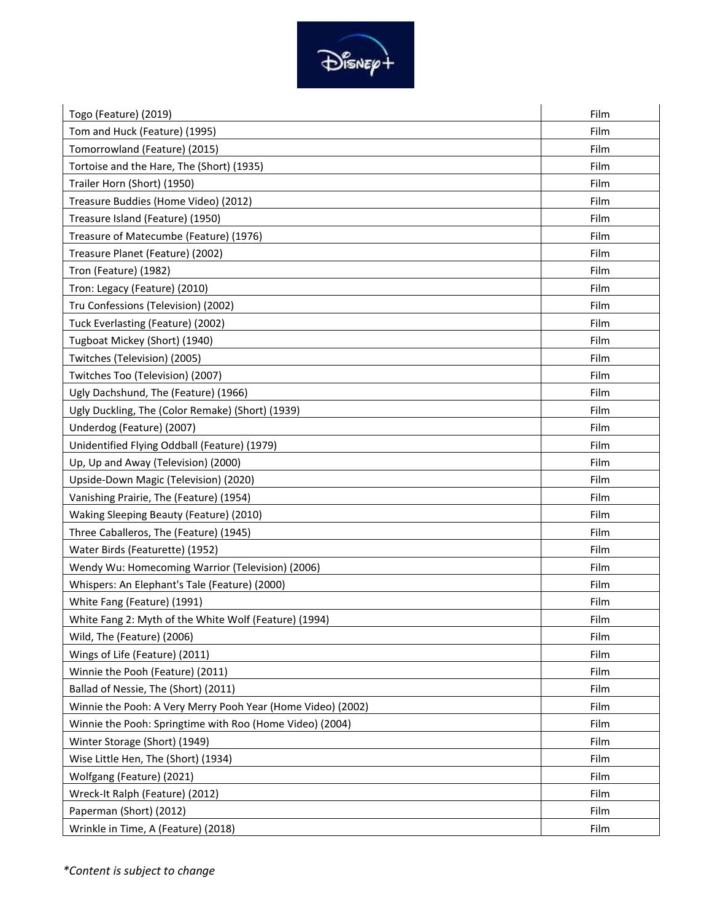

| Togo (Feature) (2019)                                       | Film |
|-------------------------------------------------------------|------|
| Tom and Huck (Feature) (1995)                               | Film |
| Tomorrowland (Feature) (2015)                               | Film |
| Tortoise and the Hare, The (Short) (1935)                   | Film |
| Trailer Horn (Short) (1950)                                 | Film |
| Treasure Buddies (Home Video) (2012)                        | Film |
| Treasure Island (Feature) (1950)                            | Film |
| Treasure of Matecumbe (Feature) (1976)                      | Film |
| Treasure Planet (Feature) (2002)                            | Film |
| Tron (Feature) (1982)                                       | Film |
| Tron: Legacy (Feature) (2010)                               | Film |
| Tru Confessions (Television) (2002)                         | Film |
| Tuck Everlasting (Feature) (2002)                           | Film |
| Tugboat Mickey (Short) (1940)                               | Film |
| Twitches (Television) (2005)                                | Film |
| Twitches Too (Television) (2007)                            | Film |
| Ugly Dachshund, The (Feature) (1966)                        | Film |
| Ugly Duckling, The (Color Remake) (Short) (1939)            | Film |
| Underdog (Feature) (2007)                                   | Film |
| Unidentified Flying Oddball (Feature) (1979)                | Film |
| Up, Up and Away (Television) (2000)                         | Film |
| Upside-Down Magic (Television) (2020)                       | Film |
| Vanishing Prairie, The (Feature) (1954)                     | Film |
| Waking Sleeping Beauty (Feature) (2010)                     | Film |
| Three Caballeros, The (Feature) (1945)                      | Film |
| Water Birds (Featurette) (1952)                             | Film |
| Wendy Wu: Homecoming Warrior (Television) (2006)            | Film |
| Whispers: An Elephant's Tale (Feature) (2000)               | Film |
| White Fang (Feature) (1991)                                 | Film |
| White Fang 2: Myth of the White Wolf (Feature) (1994)       | Film |
| Wild, The (Feature) (2006)                                  | Film |
| Wings of Life (Feature) (2011)                              | Film |
| Winnie the Pooh (Feature) (2011)                            | Film |
| Ballad of Nessie, The (Short) (2011)                        | Film |
| Winnie the Pooh: A Very Merry Pooh Year (Home Video) (2002) | Film |
| Winnie the Pooh: Springtime with Roo (Home Video) (2004)    | Film |
| Winter Storage (Short) (1949)                               | Film |
| Wise Little Hen, The (Short) (1934)                         | Film |
| Wolfgang (Feature) (2021)                                   | Film |
| Wreck-It Ralph (Feature) (2012)                             | Film |
| Paperman (Short) (2012)                                     | Film |
| Wrinkle in Time, A (Feature) (2018)                         | Film |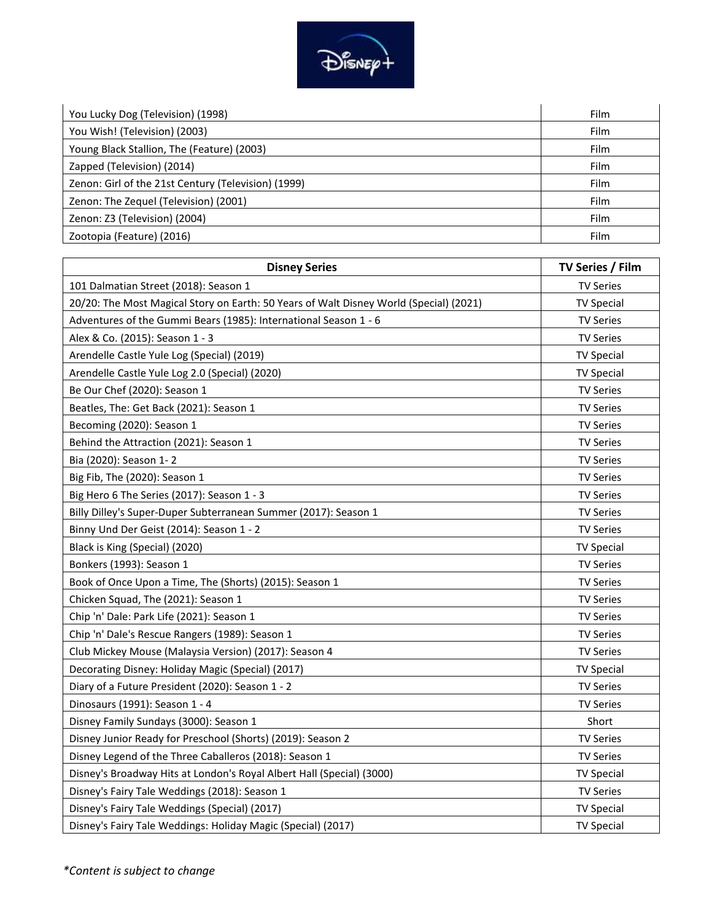

| You Lucky Dog (Television) (1998)                   | <b>Film</b> |
|-----------------------------------------------------|-------------|
| You Wish! (Television) (2003)                       | <b>Film</b> |
| Young Black Stallion, The (Feature) (2003)          | Film        |
| Zapped (Television) (2014)                          | <b>Film</b> |
| Zenon: Girl of the 21st Century (Television) (1999) | <b>Film</b> |
| Zenon: The Zequel (Television) (2001)               | Film        |
| Zenon: Z3 (Television) (2004)                       | Film        |
| Zootopia (Feature) (2016)                           | Film        |

| <b>Disney Series</b>                                                                   | TV Series / Film  |
|----------------------------------------------------------------------------------------|-------------------|
| 101 Dalmatian Street (2018): Season 1                                                  | <b>TV Series</b>  |
| 20/20: The Most Magical Story on Earth: 50 Years of Walt Disney World (Special) (2021) | <b>TV Special</b> |
| Adventures of the Gummi Bears (1985): International Season 1 - 6                       | <b>TV Series</b>  |
| Alex & Co. (2015): Season 1 - 3                                                        | <b>TV Series</b>  |
| Arendelle Castle Yule Log (Special) (2019)                                             | <b>TV Special</b> |
| Arendelle Castle Yule Log 2.0 (Special) (2020)                                         | <b>TV Special</b> |
| Be Our Chef (2020): Season 1                                                           | <b>TV Series</b>  |
| Beatles, The: Get Back (2021): Season 1                                                | <b>TV Series</b>  |
| Becoming (2020): Season 1                                                              | <b>TV Series</b>  |
| Behind the Attraction (2021): Season 1                                                 | <b>TV Series</b>  |
| Bia (2020): Season 1-2                                                                 | <b>TV Series</b>  |
| Big Fib, The (2020): Season 1                                                          | <b>TV Series</b>  |
| Big Hero 6 The Series (2017): Season 1 - 3                                             | <b>TV Series</b>  |
| Billy Dilley's Super-Duper Subterranean Summer (2017): Season 1                        | <b>TV Series</b>  |
| Binny Und Der Geist (2014): Season 1 - 2                                               | <b>TV Series</b>  |
| Black is King (Special) (2020)                                                         | <b>TV Special</b> |
| Bonkers (1993): Season 1                                                               | <b>TV Series</b>  |
| Book of Once Upon a Time, The (Shorts) (2015): Season 1                                | <b>TV Series</b>  |
| Chicken Squad, The (2021): Season 1                                                    | <b>TV Series</b>  |
| Chip 'n' Dale: Park Life (2021): Season 1                                              | <b>TV Series</b>  |
| Chip 'n' Dale's Rescue Rangers (1989): Season 1                                        | <b>TV Series</b>  |
| Club Mickey Mouse (Malaysia Version) (2017): Season 4                                  | <b>TV Series</b>  |
| Decorating Disney: Holiday Magic (Special) (2017)                                      | <b>TV Special</b> |
| Diary of a Future President (2020): Season 1 - 2                                       | <b>TV Series</b>  |
| Dinosaurs (1991): Season 1 - 4                                                         | <b>TV Series</b>  |
| Disney Family Sundays (3000): Season 1                                                 | Short             |
| Disney Junior Ready for Preschool (Shorts) (2019): Season 2                            | <b>TV Series</b>  |
| Disney Legend of the Three Caballeros (2018): Season 1                                 | <b>TV Series</b>  |
| Disney's Broadway Hits at London's Royal Albert Hall (Special) (3000)                  | <b>TV Special</b> |
| Disney's Fairy Tale Weddings (2018): Season 1                                          | <b>TV Series</b>  |
| Disney's Fairy Tale Weddings (Special) (2017)                                          | <b>TV Special</b> |
| Disney's Fairy Tale Weddings: Holiday Magic (Special) (2017)                           | <b>TV Special</b> |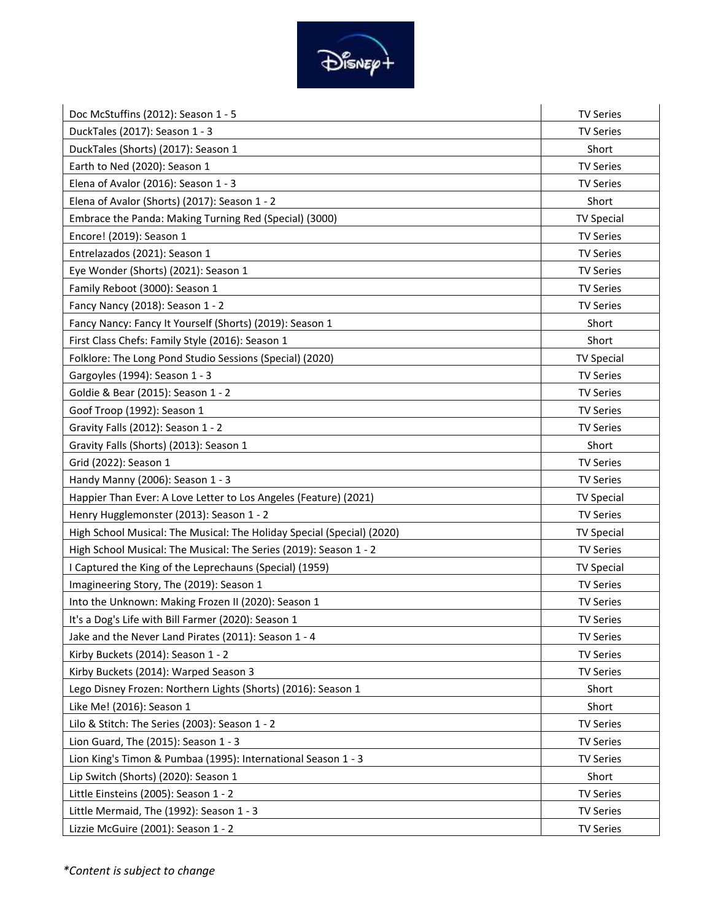

| Doc McStuffins (2012): Season 1 - 5                                    | <b>TV Series</b>  |
|------------------------------------------------------------------------|-------------------|
| DuckTales (2017): Season 1 - 3                                         | <b>TV Series</b>  |
| DuckTales (Shorts) (2017): Season 1                                    | Short             |
| Earth to Ned (2020): Season 1                                          | <b>TV Series</b>  |
| Elena of Avalor (2016): Season 1 - 3                                   | <b>TV Series</b>  |
| Elena of Avalor (Shorts) (2017): Season 1 - 2                          | Short             |
| Embrace the Panda: Making Turning Red (Special) (3000)                 | <b>TV Special</b> |
| Encore! (2019): Season 1                                               | <b>TV Series</b>  |
| Entrelazados (2021): Season 1                                          | <b>TV Series</b>  |
| Eye Wonder (Shorts) (2021): Season 1                                   | <b>TV Series</b>  |
| Family Reboot (3000): Season 1                                         | <b>TV Series</b>  |
| Fancy Nancy (2018): Season 1 - 2                                       | <b>TV Series</b>  |
| Fancy Nancy: Fancy It Yourself (Shorts) (2019): Season 1               | Short             |
| First Class Chefs: Family Style (2016): Season 1                       | Short             |
| Folklore: The Long Pond Studio Sessions (Special) (2020)               | <b>TV Special</b> |
| Gargoyles (1994): Season 1 - 3                                         | <b>TV Series</b>  |
| Goldie & Bear (2015): Season 1 - 2                                     | <b>TV Series</b>  |
| Goof Troop (1992): Season 1                                            | <b>TV Series</b>  |
| Gravity Falls (2012): Season 1 - 2                                     | <b>TV Series</b>  |
| Gravity Falls (Shorts) (2013): Season 1                                | Short             |
| Grid (2022): Season 1                                                  | <b>TV Series</b>  |
| Handy Manny (2006): Season 1 - 3                                       | <b>TV Series</b>  |
| Happier Than Ever: A Love Letter to Los Angeles (Feature) (2021)       | <b>TV Special</b> |
| Henry Hugglemonster (2013): Season 1 - 2                               | <b>TV Series</b>  |
| High School Musical: The Musical: The Holiday Special (Special) (2020) | <b>TV Special</b> |
| High School Musical: The Musical: The Series (2019): Season 1 - 2      | <b>TV Series</b>  |
| I Captured the King of the Leprechauns (Special) (1959)                | <b>TV Special</b> |
| Imagineering Story, The (2019): Season 1                               | <b>TV Series</b>  |
| Into the Unknown: Making Frozen II (2020): Season 1                    | <b>TV Series</b>  |
| It's a Dog's Life with Bill Farmer (2020): Season 1                    | <b>TV Series</b>  |
| Jake and the Never Land Pirates (2011): Season 1 - 4                   | <b>TV Series</b>  |
| Kirby Buckets (2014): Season 1 - 2                                     | <b>TV Series</b>  |
| Kirby Buckets (2014): Warped Season 3                                  | <b>TV Series</b>  |
| Lego Disney Frozen: Northern Lights (Shorts) (2016): Season 1          | Short             |
| Like Me! (2016): Season 1                                              | Short             |
| Lilo & Stitch: The Series (2003): Season 1 - 2                         | <b>TV Series</b>  |
| Lion Guard, The (2015): Season 1 - 3                                   | <b>TV Series</b>  |
| Lion King's Timon & Pumbaa (1995): International Season 1 - 3          | <b>TV Series</b>  |
| Lip Switch (Shorts) (2020): Season 1                                   | Short             |
| Little Einsteins (2005): Season 1 - 2                                  | <b>TV Series</b>  |
| Little Mermaid, The (1992): Season 1 - 3                               | <b>TV Series</b>  |
| Lizzie McGuire (2001): Season 1 - 2                                    | <b>TV Series</b>  |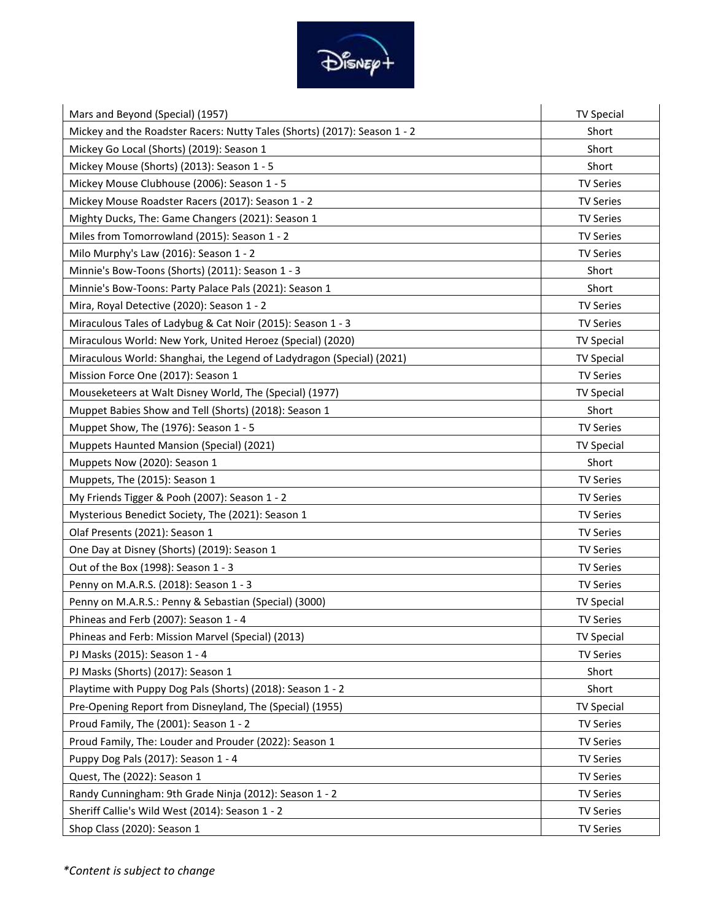

| Mars and Beyond (Special) (1957)                                          | <b>TV Special</b> |
|---------------------------------------------------------------------------|-------------------|
| Mickey and the Roadster Racers: Nutty Tales (Shorts) (2017): Season 1 - 2 | Short             |
| Mickey Go Local (Shorts) (2019): Season 1                                 | Short             |
| Mickey Mouse (Shorts) (2013): Season 1 - 5                                | Short             |
| Mickey Mouse Clubhouse (2006): Season 1 - 5                               | <b>TV Series</b>  |
| Mickey Mouse Roadster Racers (2017): Season 1 - 2                         | <b>TV Series</b>  |
| Mighty Ducks, The: Game Changers (2021): Season 1                         | <b>TV Series</b>  |
| Miles from Tomorrowland (2015): Season 1 - 2                              | <b>TV Series</b>  |
| Milo Murphy's Law (2016): Season 1 - 2                                    | <b>TV Series</b>  |
| Minnie's Bow-Toons (Shorts) (2011): Season 1 - 3                          | Short             |
| Minnie's Bow-Toons: Party Palace Pals (2021): Season 1                    | Short             |
| Mira, Royal Detective (2020): Season 1 - 2                                | <b>TV Series</b>  |
| Miraculous Tales of Ladybug & Cat Noir (2015): Season 1 - 3               | <b>TV Series</b>  |
| Miraculous World: New York, United Heroez (Special) (2020)                | <b>TV Special</b> |
| Miraculous World: Shanghai, the Legend of Ladydragon (Special) (2021)     | <b>TV Special</b> |
| Mission Force One (2017): Season 1                                        | <b>TV Series</b>  |
| Mouseketeers at Walt Disney World, The (Special) (1977)                   | <b>TV Special</b> |
| Muppet Babies Show and Tell (Shorts) (2018): Season 1                     | Short             |
| Muppet Show, The (1976): Season 1 - 5                                     | <b>TV Series</b>  |
| Muppets Haunted Mansion (Special) (2021)                                  | <b>TV Special</b> |
| Muppets Now (2020): Season 1                                              | Short             |
| Muppets, The (2015): Season 1                                             | <b>TV Series</b>  |
| My Friends Tigger & Pooh (2007): Season 1 - 2                             | <b>TV Series</b>  |
| Mysterious Benedict Society, The (2021): Season 1                         | <b>TV Series</b>  |
| Olaf Presents (2021): Season 1                                            | <b>TV Series</b>  |
| One Day at Disney (Shorts) (2019): Season 1                               | <b>TV Series</b>  |
| Out of the Box (1998): Season 1 - 3                                       | <b>TV Series</b>  |
| Penny on M.A.R.S. (2018): Season 1 - 3                                    | <b>TV Series</b>  |
| Penny on M.A.R.S.: Penny & Sebastian (Special) (3000)                     | <b>TV Special</b> |
| Phineas and Ferb (2007): Season 1 - 4                                     | <b>TV Series</b>  |
| Phineas and Ferb: Mission Marvel (Special) (2013)                         | <b>TV Special</b> |
| PJ Masks (2015): Season 1 - 4                                             | <b>TV Series</b>  |
| PJ Masks (Shorts) (2017): Season 1                                        | Short             |
| Playtime with Puppy Dog Pals (Shorts) (2018): Season 1 - 2                | Short             |
| Pre-Opening Report from Disneyland, The (Special) (1955)                  | <b>TV Special</b> |
| Proud Family, The (2001): Season 1 - 2                                    | <b>TV Series</b>  |
| Proud Family, The: Louder and Prouder (2022): Season 1                    | <b>TV Series</b>  |
| Puppy Dog Pals (2017): Season 1 - 4                                       | <b>TV Series</b>  |
| Quest, The (2022): Season 1                                               | <b>TV Series</b>  |
| Randy Cunningham: 9th Grade Ninja (2012): Season 1 - 2                    | <b>TV Series</b>  |
| Sheriff Callie's Wild West (2014): Season 1 - 2                           | <b>TV Series</b>  |
| Shop Class (2020): Season 1                                               | <b>TV Series</b>  |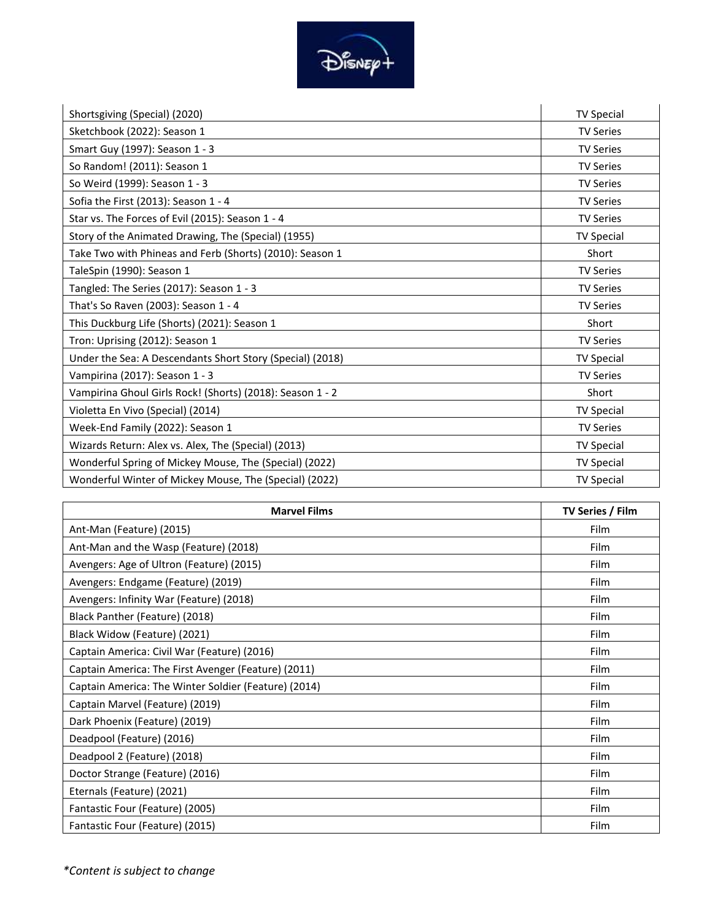

| Shortsgiving (Special) (2020)                             | <b>TV Special</b> |
|-----------------------------------------------------------|-------------------|
| Sketchbook (2022): Season 1                               | <b>TV Series</b>  |
| Smart Guy (1997): Season 1 - 3                            | <b>TV Series</b>  |
| So Random! (2011): Season 1                               | <b>TV Series</b>  |
| So Weird (1999): Season 1 - 3                             | <b>TV Series</b>  |
| Sofia the First (2013): Season 1 - 4                      | <b>TV Series</b>  |
| Star vs. The Forces of Evil (2015): Season 1 - 4          | <b>TV Series</b>  |
| Story of the Animated Drawing, The (Special) (1955)       | <b>TV Special</b> |
| Take Two with Phineas and Ferb (Shorts) (2010): Season 1  | Short             |
| TaleSpin (1990): Season 1                                 | <b>TV Series</b>  |
| Tangled: The Series (2017): Season 1 - 3                  | <b>TV Series</b>  |
| That's So Raven (2003): Season 1 - 4                      | <b>TV Series</b>  |
| This Duckburg Life (Shorts) (2021): Season 1              | Short             |
| Tron: Uprising (2012): Season 1                           | <b>TV Series</b>  |
| Under the Sea: A Descendants Short Story (Special) (2018) | <b>TV Special</b> |
| Vampirina (2017): Season 1 - 3                            | <b>TV Series</b>  |
| Vampirina Ghoul Girls Rock! (Shorts) (2018): Season 1 - 2 | Short             |
| Violetta En Vivo (Special) (2014)                         | <b>TV Special</b> |
| Week-End Family (2022): Season 1                          | <b>TV Series</b>  |
| Wizards Return: Alex vs. Alex, The (Special) (2013)       | <b>TV Special</b> |
| Wonderful Spring of Mickey Mouse, The (Special) (2022)    | <b>TV Special</b> |
| Wonderful Winter of Mickey Mouse, The (Special) (2022)    | <b>TV Special</b> |

| <b>Marvel Films</b>                                  | TV Series / Film |
|------------------------------------------------------|------------------|
| Ant-Man (Feature) (2015)                             | <b>Film</b>      |
| Ant-Man and the Wasp (Feature) (2018)                | Film             |
| Avengers: Age of Ultron (Feature) (2015)             | Film             |
| Avengers: Endgame (Feature) (2019)                   | Film             |
| Avengers: Infinity War (Feature) (2018)              | <b>Film</b>      |
| Black Panther (Feature) (2018)                       | <b>Film</b>      |
| Black Widow (Feature) (2021)                         | <b>Film</b>      |
| Captain America: Civil War (Feature) (2016)          | <b>Film</b>      |
| Captain America: The First Avenger (Feature) (2011)  | <b>Film</b>      |
| Captain America: The Winter Soldier (Feature) (2014) | Film             |
| Captain Marvel (Feature) (2019)                      | Film             |
| Dark Phoenix (Feature) (2019)                        | Film             |
| Deadpool (Feature) (2016)                            | <b>Film</b>      |
| Deadpool 2 (Feature) (2018)                          | Film             |
| Doctor Strange (Feature) (2016)                      | Film             |
| Eternals (Feature) (2021)                            | Film             |
| Fantastic Four (Feature) (2005)                      | Film             |
| Fantastic Four (Feature) (2015)                      | Film             |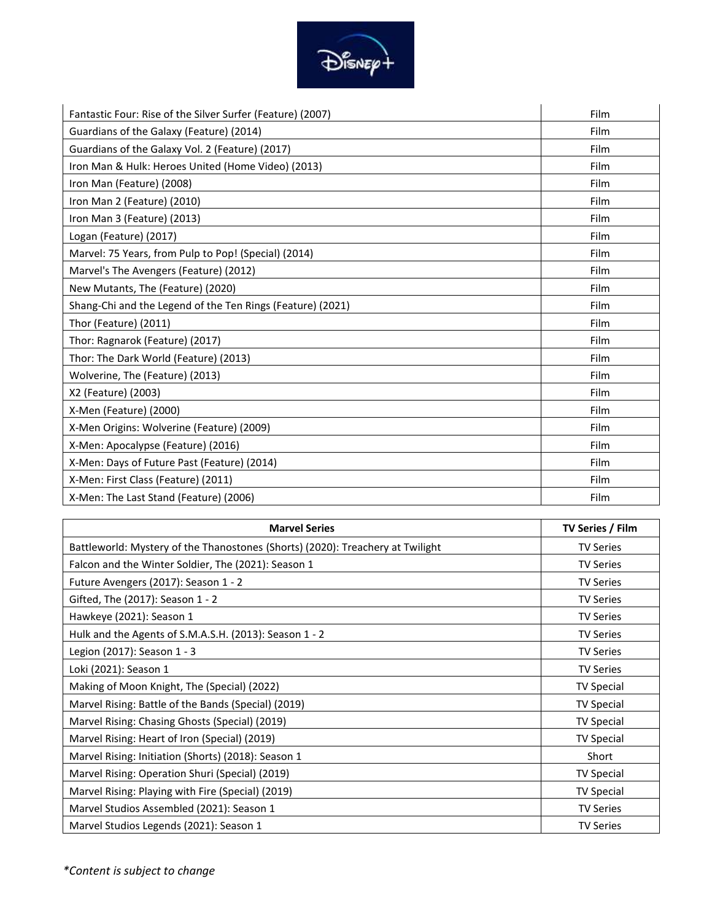

| Fantastic Four: Rise of the Silver Surfer (Feature) (2007) | Film |
|------------------------------------------------------------|------|
| Guardians of the Galaxy (Feature) (2014)                   | Film |
| Guardians of the Galaxy Vol. 2 (Feature) (2017)            | Film |
| Iron Man & Hulk: Heroes United (Home Video) (2013)         | Film |
| Iron Man (Feature) (2008)                                  | Film |
| Iron Man 2 (Feature) (2010)                                | Film |
| Iron Man 3 (Feature) (2013)                                | Film |
| Logan (Feature) (2017)                                     | Film |
| Marvel: 75 Years, from Pulp to Pop! (Special) (2014)       | Film |
| Marvel's The Avengers (Feature) (2012)                     | Film |
| New Mutants, The (Feature) (2020)                          | Film |
| Shang-Chi and the Legend of the Ten Rings (Feature) (2021) | Film |
| Thor (Feature) (2011)                                      | Film |
| Thor: Ragnarok (Feature) (2017)                            | Film |
| Thor: The Dark World (Feature) (2013)                      | Film |
| Wolverine, The (Feature) (2013)                            | Film |
| X2 (Feature) (2003)                                        | Film |
| X-Men (Feature) (2000)                                     | Film |
| X-Men Origins: Wolverine (Feature) (2009)                  | Film |
| X-Men: Apocalypse (Feature) (2016)                         | Film |
| X-Men: Days of Future Past (Feature) (2014)                | Film |
| X-Men: First Class (Feature) (2011)                        | Film |
| X-Men: The Last Stand (Feature) (2006)                     | Film |

| <b>Marvel Series</b>                                                           | TV Series / Film  |
|--------------------------------------------------------------------------------|-------------------|
| Battleworld: Mystery of the Thanostones (Shorts) (2020): Treachery at Twilight | <b>TV Series</b>  |
| Falcon and the Winter Soldier, The (2021): Season 1                            | <b>TV Series</b>  |
| Future Avengers (2017): Season 1 - 2                                           | TV Series         |
| Gifted, The (2017): Season 1 - 2                                               | <b>TV Series</b>  |
| Hawkeye (2021): Season 1                                                       | <b>TV Series</b>  |
| Hulk and the Agents of S.M.A.S.H. (2013): Season 1 - 2                         | <b>TV Series</b>  |
| Legion (2017): Season 1 - 3                                                    | <b>TV Series</b>  |
| Loki (2021): Season 1                                                          | <b>TV Series</b>  |
| Making of Moon Knight, The (Special) (2022)                                    | <b>TV Special</b> |
| Marvel Rising: Battle of the Bands (Special) (2019)                            | <b>TV Special</b> |
| Marvel Rising: Chasing Ghosts (Special) (2019)                                 | <b>TV Special</b> |
| Marvel Rising: Heart of Iron (Special) (2019)                                  | <b>TV Special</b> |
| Marvel Rising: Initiation (Shorts) (2018): Season 1                            | Short             |
| Marvel Rising: Operation Shuri (Special) (2019)                                | <b>TV Special</b> |
| Marvel Rising: Playing with Fire (Special) (2019)                              | <b>TV Special</b> |
| Marvel Studios Assembled (2021): Season 1                                      | <b>TV Series</b>  |
| Marvel Studios Legends (2021): Season 1                                        | <b>TV Series</b>  |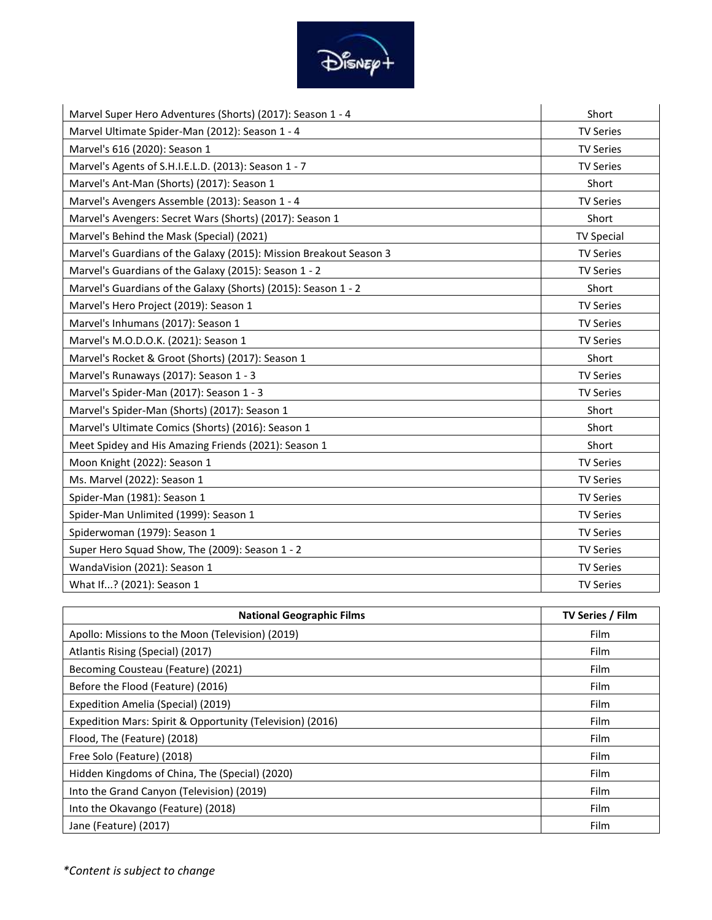

| Marvel Super Hero Adventures (Shorts) (2017): Season 1 - 4         | Short             |
|--------------------------------------------------------------------|-------------------|
| Marvel Ultimate Spider-Man (2012): Season 1 - 4                    | <b>TV Series</b>  |
| Marvel's 616 (2020): Season 1                                      | <b>TV Series</b>  |
| Marvel's Agents of S.H.I.E.L.D. (2013): Season 1 - 7               | <b>TV Series</b>  |
| Marvel's Ant-Man (Shorts) (2017): Season 1                         | Short             |
| Marvel's Avengers Assemble (2013): Season 1 - 4                    | <b>TV Series</b>  |
| Marvel's Avengers: Secret Wars (Shorts) (2017): Season 1           | Short             |
| Marvel's Behind the Mask (Special) (2021)                          | <b>TV Special</b> |
| Marvel's Guardians of the Galaxy (2015): Mission Breakout Season 3 | <b>TV Series</b>  |
| Marvel's Guardians of the Galaxy (2015): Season 1 - 2              | <b>TV Series</b>  |
| Marvel's Guardians of the Galaxy (Shorts) (2015): Season 1 - 2     | Short             |
| Marvel's Hero Project (2019): Season 1                             | <b>TV Series</b>  |
| Marvel's Inhumans (2017): Season 1                                 | <b>TV Series</b>  |
| Marvel's M.O.D.O.K. (2021): Season 1                               | <b>TV Series</b>  |
| Marvel's Rocket & Groot (Shorts) (2017): Season 1                  | Short             |
| Marvel's Runaways (2017): Season 1 - 3                             | <b>TV Series</b>  |
| Marvel's Spider-Man (2017): Season 1 - 3                           | <b>TV Series</b>  |
| Marvel's Spider-Man (Shorts) (2017): Season 1                      | Short             |
| Marvel's Ultimate Comics (Shorts) (2016): Season 1                 | Short             |
| Meet Spidey and His Amazing Friends (2021): Season 1               | Short             |
| Moon Knight (2022): Season 1                                       | <b>TV Series</b>  |
| Ms. Marvel (2022): Season 1                                        | <b>TV Series</b>  |
| Spider-Man (1981): Season 1                                        | <b>TV Series</b>  |
| Spider-Man Unlimited (1999): Season 1                              | <b>TV Series</b>  |
| Spiderwoman (1979): Season 1                                       | <b>TV Series</b>  |
| Super Hero Squad Show, The (2009): Season 1 - 2                    | <b>TV Series</b>  |
| WandaVision (2021): Season 1                                       | <b>TV Series</b>  |
| What If? (2021): Season 1                                          | <b>TV Series</b>  |

| <b>National Geographic Films</b>                          | TV Series / Film |
|-----------------------------------------------------------|------------------|
| Apollo: Missions to the Moon (Television) (2019)          | Film             |
| Atlantis Rising (Special) (2017)                          | Film             |
| Becoming Cousteau (Feature) (2021)                        | Film             |
| Before the Flood (Feature) (2016)                         | Film             |
| Expedition Amelia (Special) (2019)                        | Film             |
| Expedition Mars: Spirit & Opportunity (Television) (2016) | <b>Film</b>      |
| Flood, The (Feature) (2018)                               | <b>Film</b>      |
| Free Solo (Feature) (2018)                                | <b>Film</b>      |
| Hidden Kingdoms of China, The (Special) (2020)            | Film             |
| Into the Grand Canyon (Television) (2019)                 | Film             |
| Into the Okavango (Feature) (2018)                        | <b>Film</b>      |
| Jane (Feature) (2017)                                     | Film             |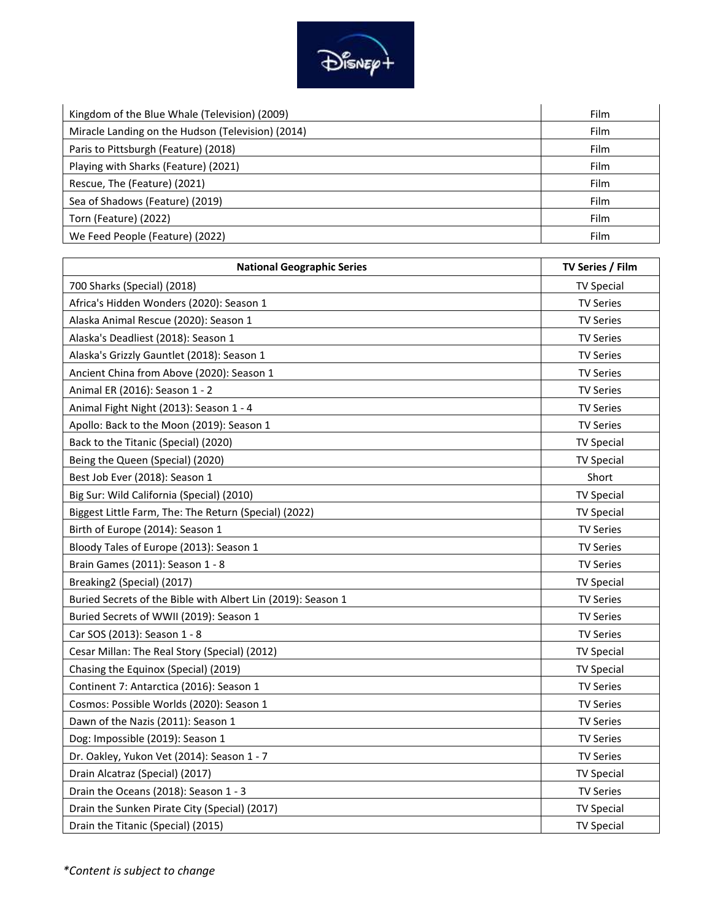

| Kingdom of the Blue Whale (Television) (2009)     | Film |
|---------------------------------------------------|------|
| Miracle Landing on the Hudson (Television) (2014) | Film |
| Paris to Pittsburgh (Feature) (2018)              | Film |
| Playing with Sharks (Feature) (2021)              | Film |
| Rescue, The (Feature) (2021)                      | Film |
| Sea of Shadows (Feature) (2019)                   | Film |
| Torn (Feature) (2022)                             | Film |
| We Feed People (Feature) (2022)                   | Film |

| <b>National Geographic Series</b>                            | TV Series / Film  |
|--------------------------------------------------------------|-------------------|
| 700 Sharks (Special) (2018)                                  | <b>TV Special</b> |
| Africa's Hidden Wonders (2020): Season 1                     | <b>TV Series</b>  |
| Alaska Animal Rescue (2020): Season 1                        | <b>TV Series</b>  |
| Alaska's Deadliest (2018): Season 1                          | <b>TV Series</b>  |
| Alaska's Grizzly Gauntlet (2018): Season 1                   | <b>TV Series</b>  |
| Ancient China from Above (2020): Season 1                    | <b>TV Series</b>  |
| Animal ER (2016): Season 1 - 2                               | <b>TV Series</b>  |
| Animal Fight Night (2013): Season 1 - 4                      | <b>TV Series</b>  |
| Apollo: Back to the Moon (2019): Season 1                    | <b>TV Series</b>  |
| Back to the Titanic (Special) (2020)                         | <b>TV Special</b> |
| Being the Queen (Special) (2020)                             | <b>TV Special</b> |
| Best Job Ever (2018): Season 1                               | Short             |
| Big Sur: Wild California (Special) (2010)                    | <b>TV Special</b> |
| Biggest Little Farm, The: The Return (Special) (2022)        | <b>TV Special</b> |
| Birth of Europe (2014): Season 1                             | <b>TV Series</b>  |
| Bloody Tales of Europe (2013): Season 1                      | <b>TV Series</b>  |
| Brain Games (2011): Season 1 - 8                             | <b>TV Series</b>  |
| Breaking2 (Special) (2017)                                   | <b>TV Special</b> |
| Buried Secrets of the Bible with Albert Lin (2019): Season 1 | <b>TV Series</b>  |
| Buried Secrets of WWII (2019): Season 1                      | <b>TV Series</b>  |
| Car SOS (2013): Season 1 - 8                                 | <b>TV Series</b>  |
| Cesar Millan: The Real Story (Special) (2012)                | <b>TV Special</b> |
| Chasing the Equinox (Special) (2019)                         | <b>TV Special</b> |
| Continent 7: Antarctica (2016): Season 1                     | <b>TV Series</b>  |
| Cosmos: Possible Worlds (2020): Season 1                     | <b>TV Series</b>  |
| Dawn of the Nazis (2011): Season 1                           | <b>TV Series</b>  |
| Dog: Impossible (2019): Season 1                             | <b>TV Series</b>  |
| Dr. Oakley, Yukon Vet (2014): Season 1 - 7                   | <b>TV Series</b>  |
| Drain Alcatraz (Special) (2017)                              | <b>TV Special</b> |
| Drain the Oceans (2018): Season 1 - 3                        | <b>TV Series</b>  |
| Drain the Sunken Pirate City (Special) (2017)                | <b>TV Special</b> |
| Drain the Titanic (Special) (2015)                           | <b>TV Special</b> |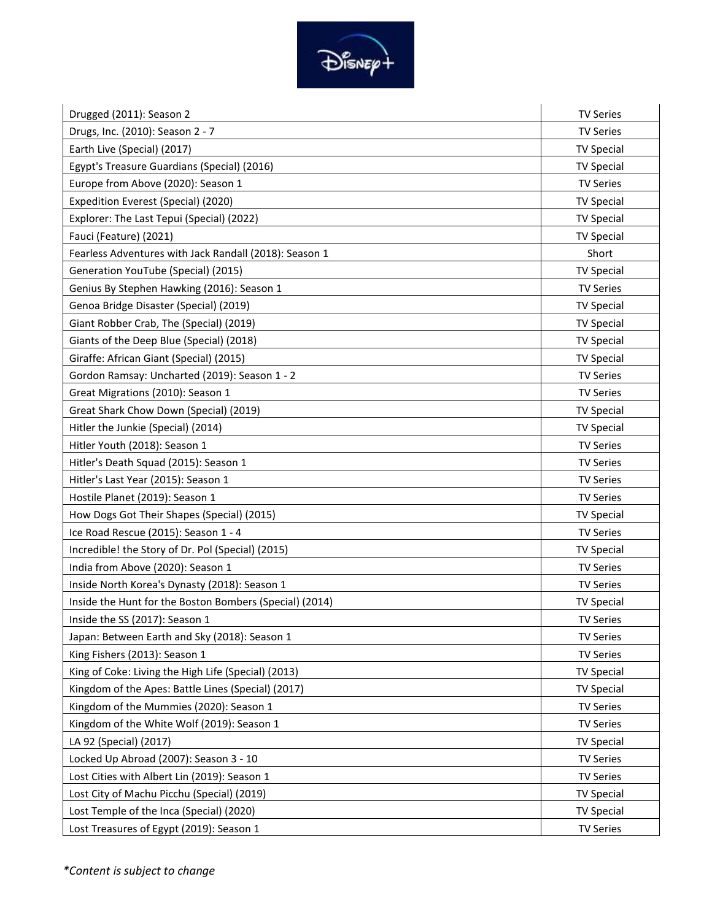

| Drugged (2011): Season 2                                | <b>TV Series</b>  |
|---------------------------------------------------------|-------------------|
| Drugs, Inc. (2010): Season 2 - 7                        | <b>TV Series</b>  |
| Earth Live (Special) (2017)                             | <b>TV Special</b> |
| Egypt's Treasure Guardians (Special) (2016)             | <b>TV Special</b> |
| Europe from Above (2020): Season 1                      | <b>TV Series</b>  |
| Expedition Everest (Special) (2020)                     | <b>TV Special</b> |
| Explorer: The Last Tepui (Special) (2022)               | <b>TV Special</b> |
| Fauci (Feature) (2021)                                  | <b>TV Special</b> |
| Fearless Adventures with Jack Randall (2018): Season 1  | Short             |
| Generation YouTube (Special) (2015)                     | <b>TV Special</b> |
| Genius By Stephen Hawking (2016): Season 1              | <b>TV Series</b>  |
| Genoa Bridge Disaster (Special) (2019)                  | <b>TV Special</b> |
| Giant Robber Crab, The (Special) (2019)                 | <b>TV Special</b> |
| Giants of the Deep Blue (Special) (2018)                | <b>TV Special</b> |
| Giraffe: African Giant (Special) (2015)                 | <b>TV Special</b> |
| Gordon Ramsay: Uncharted (2019): Season 1 - 2           | <b>TV Series</b>  |
| Great Migrations (2010): Season 1                       | <b>TV Series</b>  |
| Great Shark Chow Down (Special) (2019)                  | <b>TV Special</b> |
| Hitler the Junkie (Special) (2014)                      | <b>TV Special</b> |
| Hitler Youth (2018): Season 1                           | <b>TV Series</b>  |
| Hitler's Death Squad (2015): Season 1                   | <b>TV Series</b>  |
| Hitler's Last Year (2015): Season 1                     | <b>TV Series</b>  |
| Hostile Planet (2019): Season 1                         | <b>TV Series</b>  |
| How Dogs Got Their Shapes (Special) (2015)              | <b>TV Special</b> |
| Ice Road Rescue (2015): Season 1 - 4                    | <b>TV Series</b>  |
| Incredible! the Story of Dr. Pol (Special) (2015)       | <b>TV Special</b> |
| India from Above (2020): Season 1                       | <b>TV Series</b>  |
| Inside North Korea's Dynasty (2018): Season 1           | <b>TV Series</b>  |
| Inside the Hunt for the Boston Bombers (Special) (2014) | <b>TV Special</b> |
| Inside the SS (2017): Season 1                          | <b>TV Series</b>  |
| Japan: Between Earth and Sky (2018): Season 1           | <b>TV Series</b>  |
| King Fishers (2013): Season 1                           | <b>TV Series</b>  |
| King of Coke: Living the High Life (Special) (2013)     | <b>TV Special</b> |
| Kingdom of the Apes: Battle Lines (Special) (2017)      | <b>TV Special</b> |
| Kingdom of the Mummies (2020): Season 1                 | <b>TV Series</b>  |
| Kingdom of the White Wolf (2019): Season 1              | <b>TV Series</b>  |
| LA 92 (Special) (2017)                                  | <b>TV Special</b> |
| Locked Up Abroad (2007): Season 3 - 10                  | <b>TV Series</b>  |
| Lost Cities with Albert Lin (2019): Season 1            | <b>TV Series</b>  |
| Lost City of Machu Picchu (Special) (2019)              | <b>TV Special</b> |
| Lost Temple of the Inca (Special) (2020)                | <b>TV Special</b> |
| Lost Treasures of Egypt (2019): Season 1                | <b>TV Series</b>  |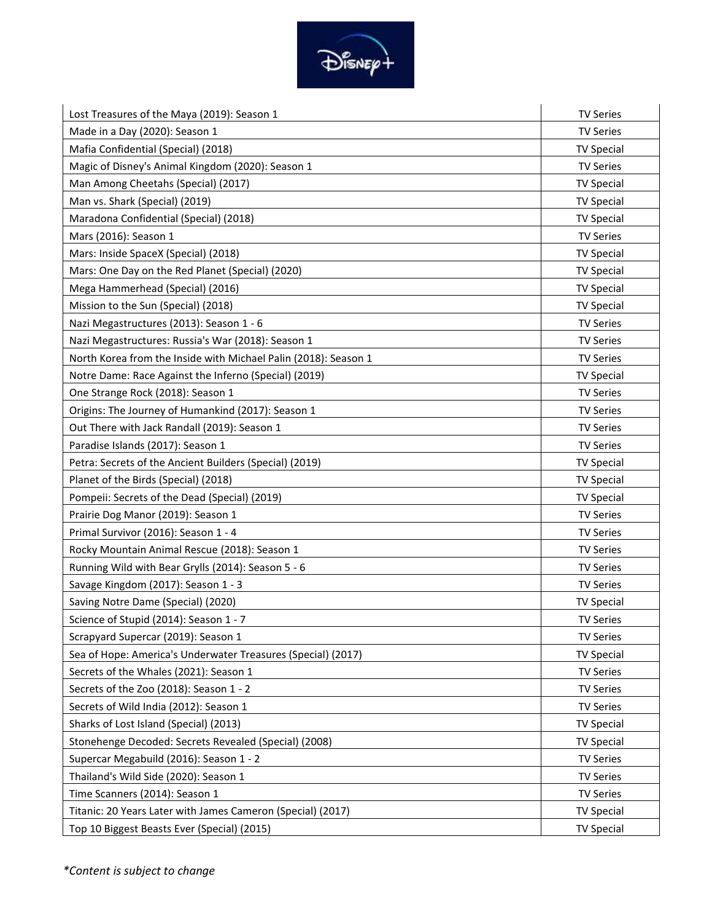

| Lost Treasures of the Maya (2019): Season 1                     | <b>TV Series</b>  |
|-----------------------------------------------------------------|-------------------|
| Made in a Day (2020): Season 1                                  | <b>TV Series</b>  |
| Mafia Confidential (Special) (2018)                             | <b>TV Special</b> |
| Magic of Disney's Animal Kingdom (2020): Season 1               | <b>TV Series</b>  |
| Man Among Cheetahs (Special) (2017)                             | <b>TV Special</b> |
| Man vs. Shark (Special) (2019)                                  | <b>TV Special</b> |
| Maradona Confidential (Special) (2018)                          | <b>TV Special</b> |
| Mars (2016): Season 1                                           | <b>TV Series</b>  |
| Mars: Inside SpaceX (Special) (2018)                            | <b>TV Special</b> |
| Mars: One Day on the Red Planet (Special) (2020)                | <b>TV Special</b> |
| Mega Hammerhead (Special) (2016)                                | <b>TV Special</b> |
| Mission to the Sun (Special) (2018)                             | <b>TV Special</b> |
| Nazi Megastructures (2013): Season 1 - 6                        | <b>TV Series</b>  |
| Nazi Megastructures: Russia's War (2018): Season 1              | <b>TV Series</b>  |
| North Korea from the Inside with Michael Palin (2018): Season 1 | <b>TV Series</b>  |
| Notre Dame: Race Against the Inferno (Special) (2019)           | <b>TV Special</b> |
| One Strange Rock (2018): Season 1                               | <b>TV Series</b>  |
| Origins: The Journey of Humankind (2017): Season 1              | <b>TV Series</b>  |
| Out There with Jack Randall (2019): Season 1                    | <b>TV Series</b>  |
| Paradise Islands (2017): Season 1                               | <b>TV Series</b>  |
| Petra: Secrets of the Ancient Builders (Special) (2019)         | <b>TV Special</b> |
| Planet of the Birds (Special) (2018)                            | <b>TV Special</b> |
| Pompeii: Secrets of the Dead (Special) (2019)                   | <b>TV Special</b> |
| Prairie Dog Manor (2019): Season 1                              | <b>TV Series</b>  |
| Primal Survivor (2016): Season 1 - 4                            | <b>TV Series</b>  |
| Rocky Mountain Animal Rescue (2018): Season 1                   | <b>TV Series</b>  |
| Running Wild with Bear Grylls (2014): Season 5 - 6              | <b>TV Series</b>  |
| Savage Kingdom (2017): Season 1 - 3                             | <b>TV Series</b>  |
| Saving Notre Dame (Special) (2020)                              | <b>TV Special</b> |
| Science of Stupid (2014): Season 1 - 7                          | <b>TV Series</b>  |
| Scrapyard Supercar (2019): Season 1                             | <b>TV Series</b>  |
| Sea of Hope: America's Underwater Treasures (Special) (2017)    | <b>TV Special</b> |
| Secrets of the Whales (2021): Season 1                          | <b>TV Series</b>  |
| Secrets of the Zoo (2018): Season 1 - 2                         | <b>TV Series</b>  |
| Secrets of Wild India (2012): Season 1                          | <b>TV Series</b>  |
| Sharks of Lost Island (Special) (2013)                          | <b>TV Special</b> |
| Stonehenge Decoded: Secrets Revealed (Special) (2008)           | <b>TV Special</b> |
| Supercar Megabuild (2016): Season 1 - 2                         | <b>TV Series</b>  |
| Thailand's Wild Side (2020): Season 1                           | <b>TV Series</b>  |
| Time Scanners (2014): Season 1                                  | <b>TV Series</b>  |
| Titanic: 20 Years Later with James Cameron (Special) (2017)     | <b>TV Special</b> |
| Top 10 Biggest Beasts Ever (Special) (2015)                     | <b>TV Special</b> |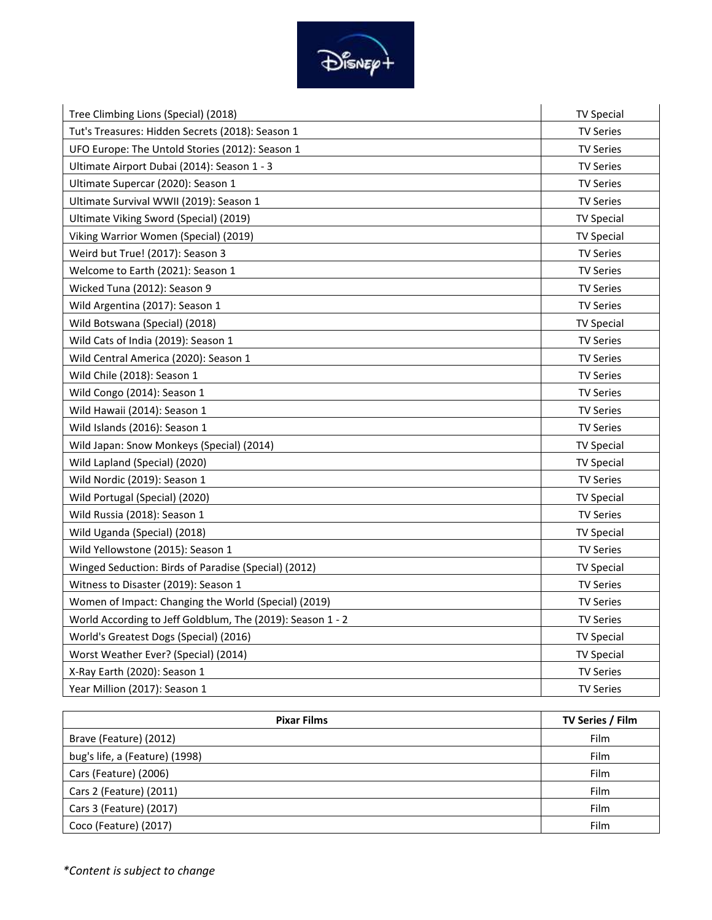

| Tree Climbing Lions (Special) (2018)                       | <b>TV Special</b> |
|------------------------------------------------------------|-------------------|
| Tut's Treasures: Hidden Secrets (2018): Season 1           | <b>TV Series</b>  |
| UFO Europe: The Untold Stories (2012): Season 1            | <b>TV Series</b>  |
| Ultimate Airport Dubai (2014): Season 1 - 3                | <b>TV Series</b>  |
| Ultimate Supercar (2020): Season 1                         | <b>TV Series</b>  |
| Ultimate Survival WWII (2019): Season 1                    | <b>TV Series</b>  |
| Ultimate Viking Sword (Special) (2019)                     | <b>TV Special</b> |
| Viking Warrior Women (Special) (2019)                      | <b>TV Special</b> |
| Weird but True! (2017): Season 3                           | <b>TV Series</b>  |
| Welcome to Earth (2021): Season 1                          | <b>TV Series</b>  |
| Wicked Tuna (2012): Season 9                               | <b>TV Series</b>  |
| Wild Argentina (2017): Season 1                            | <b>TV Series</b>  |
| Wild Botswana (Special) (2018)                             | <b>TV Special</b> |
| Wild Cats of India (2019): Season 1                        | <b>TV Series</b>  |
| Wild Central America (2020): Season 1                      | <b>TV Series</b>  |
| Wild Chile (2018): Season 1                                | <b>TV Series</b>  |
| Wild Congo (2014): Season 1                                | <b>TV Series</b>  |
| Wild Hawaii (2014): Season 1                               | <b>TV Series</b>  |
| Wild Islands (2016): Season 1                              | <b>TV Series</b>  |
| Wild Japan: Snow Monkeys (Special) (2014)                  | <b>TV Special</b> |
| Wild Lapland (Special) (2020)                              | <b>TV Special</b> |
| Wild Nordic (2019): Season 1                               | <b>TV Series</b>  |
| Wild Portugal (Special) (2020)                             | <b>TV Special</b> |
| Wild Russia (2018): Season 1                               | <b>TV Series</b>  |
| Wild Uganda (Special) (2018)                               | <b>TV Special</b> |
| Wild Yellowstone (2015): Season 1                          | <b>TV Series</b>  |
| Winged Seduction: Birds of Paradise (Special) (2012)       | <b>TV Special</b> |
| Witness to Disaster (2019): Season 1                       | <b>TV Series</b>  |
| Women of Impact: Changing the World (Special) (2019)       | <b>TV Series</b>  |
| World According to Jeff Goldblum, The (2019): Season 1 - 2 | <b>TV Series</b>  |
| World's Greatest Dogs (Special) (2016)                     | <b>TV Special</b> |
| Worst Weather Ever? (Special) (2014)                       | <b>TV Special</b> |
| X-Ray Earth (2020): Season 1                               | <b>TV Series</b>  |
| Year Million (2017): Season 1                              | <b>TV Series</b>  |

| <b>Pixar Films</b>             | TV Series / Film |
|--------------------------------|------------------|
| Brave (Feature) (2012)         | Film             |
| bug's life, a (Feature) (1998) | Film             |
| Cars (Feature) (2006)          | Film             |
| Cars 2 (Feature) (2011)        | Film             |
| Cars 3 (Feature) (2017)        | Film             |
| Coco (Feature) (2017)          | Film             |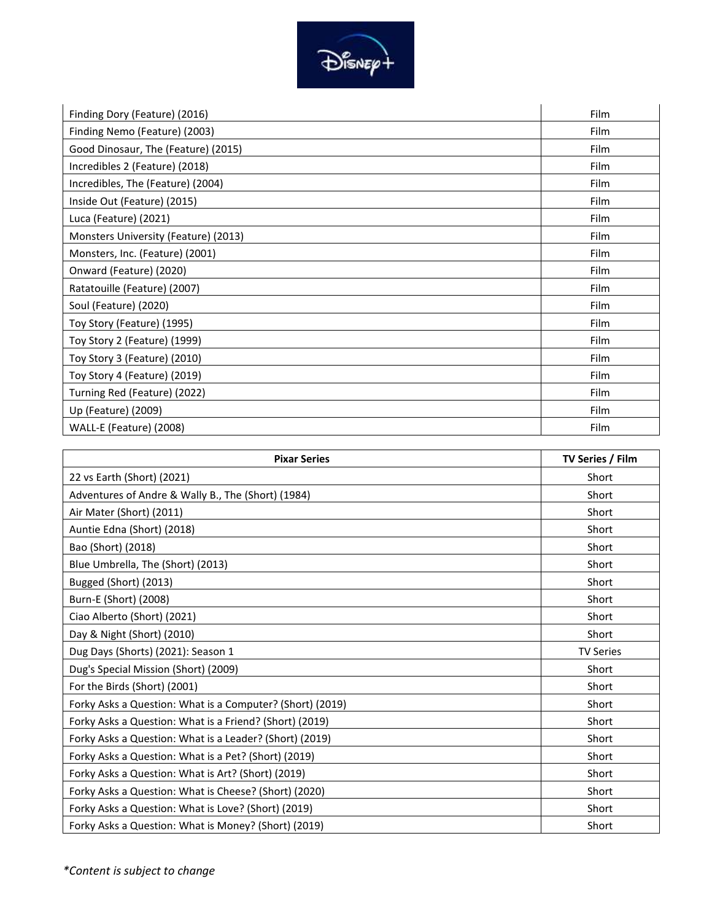

| Finding Dory (Feature) (2016)        | Film        |
|--------------------------------------|-------------|
| Finding Nemo (Feature) (2003)        | <b>Film</b> |
| Good Dinosaur, The (Feature) (2015)  | Film        |
| Incredibles 2 (Feature) (2018)       | <b>Film</b> |
| Incredibles, The (Feature) (2004)    | Film        |
| Inside Out (Feature) (2015)          | Film        |
| Luca (Feature) (2021)                | Film        |
| Monsters University (Feature) (2013) | <b>Film</b> |
| Monsters, Inc. (Feature) (2001)      | Film        |
| Onward (Feature) (2020)              | <b>Film</b> |
| Ratatouille (Feature) (2007)         | Film        |
| Soul (Feature) (2020)                | Film        |
| Toy Story (Feature) (1995)           | Film        |
| Toy Story 2 (Feature) (1999)         | <b>Film</b> |
| Toy Story 3 (Feature) (2010)         | <b>Film</b> |
| Toy Story 4 (Feature) (2019)         | <b>Film</b> |
| Turning Red (Feature) (2022)         | Film        |
| Up (Feature) (2009)                  | <b>Film</b> |
| WALL-E (Feature) (2008)              | Film        |

| <b>Pixar Series</b>                                       | TV Series / Film |
|-----------------------------------------------------------|------------------|
| 22 vs Earth (Short) (2021)                                | Short            |
| Adventures of Andre & Wally B., The (Short) (1984)        | Short            |
| Air Mater (Short) (2011)                                  | Short            |
| Auntie Edna (Short) (2018)                                | Short            |
| Bao (Short) (2018)                                        | Short            |
| Blue Umbrella, The (Short) (2013)                         | Short            |
| Bugged (Short) (2013)                                     | Short            |
| Burn-E (Short) (2008)                                     | Short            |
| Ciao Alberto (Short) (2021)                               | Short            |
| Day & Night (Short) (2010)                                | Short            |
| Dug Days (Shorts) (2021): Season 1                        | <b>TV Series</b> |
| Dug's Special Mission (Short) (2009)                      | Short            |
| For the Birds (Short) (2001)                              | Short            |
| Forky Asks a Question: What is a Computer? (Short) (2019) | Short            |
| Forky Asks a Question: What is a Friend? (Short) (2019)   | Short            |
| Forky Asks a Question: What is a Leader? (Short) (2019)   | Short            |
| Forky Asks a Question: What is a Pet? (Short) (2019)      | Short            |
| Forky Asks a Question: What is Art? (Short) (2019)        | Short            |
| Forky Asks a Question: What is Cheese? (Short) (2020)     | Short            |
| Forky Asks a Question: What is Love? (Short) (2019)       | Short            |
| Forky Asks a Question: What is Money? (Short) (2019)      | Short            |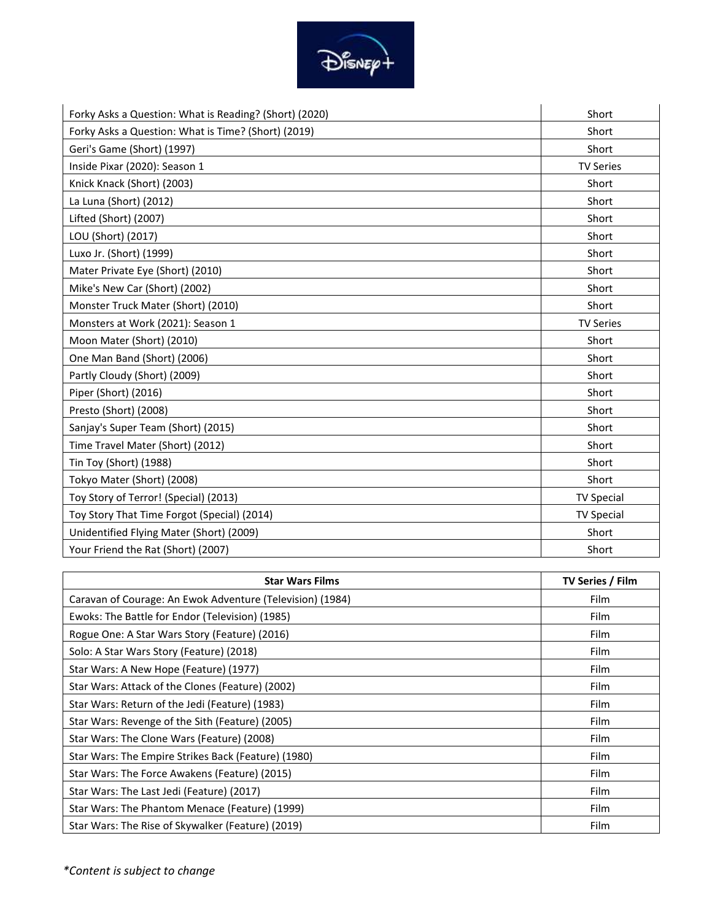

| Forky Asks a Question: What is Reading? (Short) (2020) | Short             |
|--------------------------------------------------------|-------------------|
| Forky Asks a Question: What is Time? (Short) (2019)    | Short             |
| Geri's Game (Short) (1997)                             | Short             |
| Inside Pixar (2020): Season 1                          | <b>TV Series</b>  |
| Knick Knack (Short) (2003)                             | Short             |
| La Luna (Short) (2012)                                 | Short             |
| Lifted (Short) (2007)                                  | Short             |
| LOU (Short) (2017)                                     | Short             |
| Luxo Jr. (Short) (1999)                                | Short             |
| Mater Private Eye (Short) (2010)                       | Short             |
| Mike's New Car (Short) (2002)                          | Short             |
| Monster Truck Mater (Short) (2010)                     | Short             |
| Monsters at Work (2021): Season 1                      | <b>TV Series</b>  |
| Moon Mater (Short) (2010)                              | Short             |
| One Man Band (Short) (2006)                            | Short             |
| Partly Cloudy (Short) (2009)                           | Short             |
| Piper (Short) (2016)                                   | Short             |
| Presto (Short) (2008)                                  | Short             |
| Sanjay's Super Team (Short) (2015)                     | Short             |
| Time Travel Mater (Short) (2012)                       | Short             |
| Tin Toy (Short) (1988)                                 | Short             |
| Tokyo Mater (Short) (2008)                             | Short             |
| Toy Story of Terror! (Special) (2013)                  | <b>TV Special</b> |
| Toy Story That Time Forgot (Special) (2014)            | <b>TV Special</b> |
| Unidentified Flying Mater (Short) (2009)               | Short             |
| Your Friend the Rat (Short) (2007)                     | Short             |

| <b>Star Wars Films</b>                                    | <b>TV Series / Film</b> |
|-----------------------------------------------------------|-------------------------|
| Caravan of Courage: An Ewok Adventure (Television) (1984) | Film                    |
| Ewoks: The Battle for Endor (Television) (1985)           | Film                    |
| Rogue One: A Star Wars Story (Feature) (2016)             | Film                    |
| Solo: A Star Wars Story (Feature) (2018)                  | Film                    |
| Star Wars: A New Hope (Feature) (1977)                    | Film                    |
| Star Wars: Attack of the Clones (Feature) (2002)          | Film                    |
| Star Wars: Return of the Jedi (Feature) (1983)            | Film                    |
| Star Wars: Revenge of the Sith (Feature) (2005)           | Film                    |
| Star Wars: The Clone Wars (Feature) (2008)                | Film                    |
| Star Wars: The Empire Strikes Back (Feature) (1980)       | Film                    |
| Star Wars: The Force Awakens (Feature) (2015)             | Film                    |
| Star Wars: The Last Jedi (Feature) (2017)                 | Film                    |
| Star Wars: The Phantom Menace (Feature) (1999)            | Film                    |
| Star Wars: The Rise of Skywalker (Feature) (2019)         | Film                    |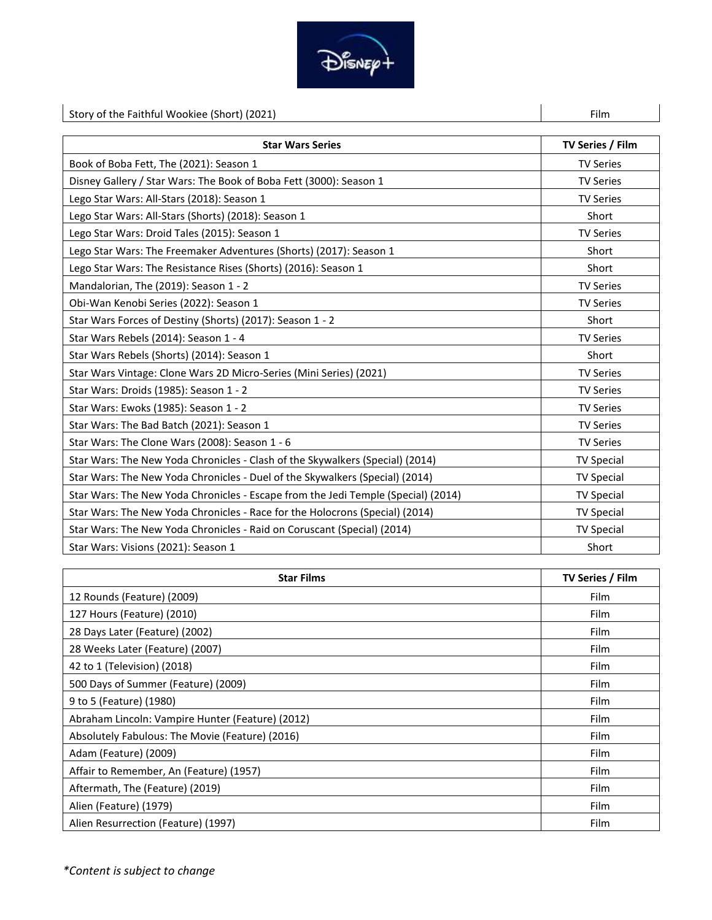

| Story of the Faithful Wookiee (Short) (2021)                                      | Film              |
|-----------------------------------------------------------------------------------|-------------------|
|                                                                                   |                   |
| <b>Star Wars Series</b>                                                           | TV Series / Film  |
| Book of Boba Fett, The (2021): Season 1                                           | <b>TV Series</b>  |
| Disney Gallery / Star Wars: The Book of Boba Fett (3000): Season 1                | <b>TV Series</b>  |
| Lego Star Wars: All-Stars (2018): Season 1                                        | <b>TV Series</b>  |
| Lego Star Wars: All-Stars (Shorts) (2018): Season 1                               | Short             |
| Lego Star Wars: Droid Tales (2015): Season 1                                      | <b>TV Series</b>  |
| Lego Star Wars: The Freemaker Adventures (Shorts) (2017): Season 1                | Short             |
| Lego Star Wars: The Resistance Rises (Shorts) (2016): Season 1                    | Short             |
| Mandalorian, The (2019): Season 1 - 2                                             | <b>TV Series</b>  |
| Obi-Wan Kenobi Series (2022): Season 1                                            | <b>TV Series</b>  |
| Star Wars Forces of Destiny (Shorts) (2017): Season 1 - 2                         | Short             |
| Star Wars Rebels (2014): Season 1 - 4                                             | <b>TV Series</b>  |
| Star Wars Rebels (Shorts) (2014): Season 1                                        | Short             |
| Star Wars Vintage: Clone Wars 2D Micro-Series (Mini Series) (2021)                | <b>TV Series</b>  |
| Star Wars: Droids (1985): Season 1 - 2                                            | <b>TV Series</b>  |
| Star Wars: Ewoks (1985): Season 1 - 2                                             | <b>TV Series</b>  |
| Star Wars: The Bad Batch (2021): Season 1                                         | <b>TV Series</b>  |
| Star Wars: The Clone Wars (2008): Season 1 - 6                                    | <b>TV Series</b>  |
| Star Wars: The New Yoda Chronicles - Clash of the Skywalkers (Special) (2014)     | <b>TV Special</b> |
| Star Wars: The New Yoda Chronicles - Duel of the Skywalkers (Special) (2014)      | <b>TV Special</b> |
| Star Wars: The New Yoda Chronicles - Escape from the Jedi Temple (Special) (2014) | <b>TV Special</b> |
| Star Wars: The New Yoda Chronicles - Race for the Holocrons (Special) (2014)      | <b>TV Special</b> |
| Star Wars: The New Yoda Chronicles - Raid on Coruscant (Special) (2014)           | <b>TV Special</b> |
| Star Wars: Visions (2021): Season 1                                               | Short             |

| <b>Star Films</b>                                | TV Series / Film |
|--------------------------------------------------|------------------|
| 12 Rounds (Feature) (2009)                       | Film             |
| 127 Hours (Feature) (2010)                       | Film             |
| 28 Days Later (Feature) (2002)                   | Film             |
| 28 Weeks Later (Feature) (2007)                  | Film             |
| 42 to 1 (Television) (2018)                      | Film             |
| 500 Days of Summer (Feature) (2009)              | Film             |
| 9 to 5 (Feature) (1980)                          | Film             |
| Abraham Lincoln: Vampire Hunter (Feature) (2012) | Film             |
| Absolutely Fabulous: The Movie (Feature) (2016)  | Film             |
| Adam (Feature) (2009)                            | Film             |
| Affair to Remember, An (Feature) (1957)          | Film             |
| Aftermath, The (Feature) (2019)                  | Film             |
| Alien (Feature) (1979)                           | Film             |
| Alien Resurrection (Feature) (1997)              | Film             |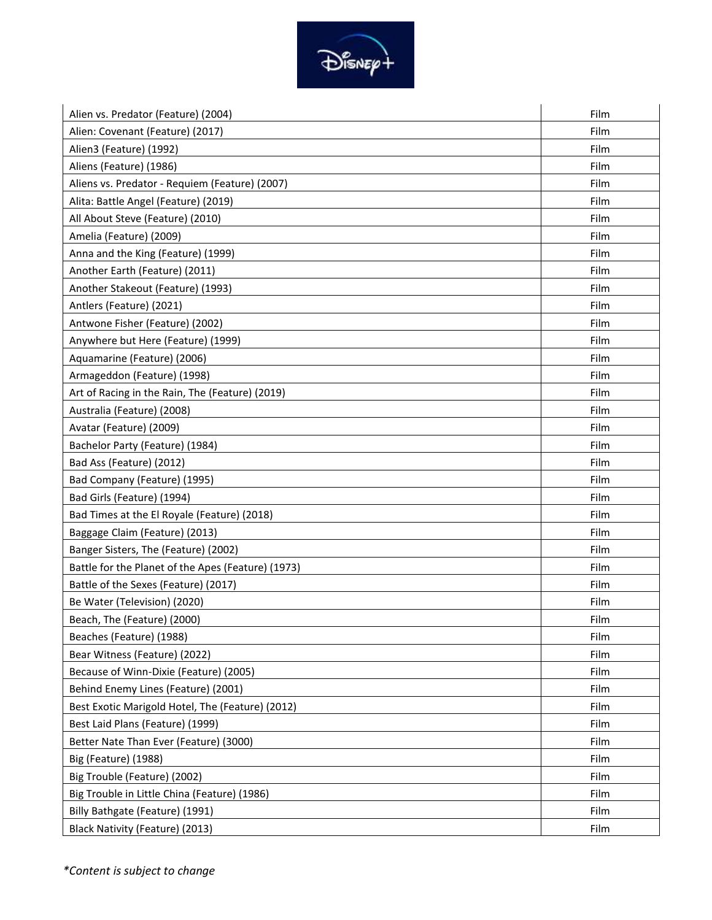

| Alien vs. Predator (Feature) (2004)                | Film |
|----------------------------------------------------|------|
| Alien: Covenant (Feature) (2017)                   | Film |
| Alien3 (Feature) (1992)                            | Film |
| Aliens (Feature) (1986)                            | Film |
| Aliens vs. Predator - Requiem (Feature) (2007)     | Film |
| Alita: Battle Angel (Feature) (2019)               | Film |
| All About Steve (Feature) (2010)                   | Film |
| Amelia (Feature) (2009)                            | Film |
| Anna and the King (Feature) (1999)                 | Film |
| Another Earth (Feature) (2011)                     | Film |
| Another Stakeout (Feature) (1993)                  | Film |
| Antlers (Feature) (2021)                           | Film |
| Antwone Fisher (Feature) (2002)                    | Film |
| Anywhere but Here (Feature) (1999)                 | Film |
| Aquamarine (Feature) (2006)                        | Film |
| Armageddon (Feature) (1998)                        | Film |
| Art of Racing in the Rain, The (Feature) (2019)    | Film |
| Australia (Feature) (2008)                         | Film |
| Avatar (Feature) (2009)                            | Film |
| Bachelor Party (Feature) (1984)                    | Film |
| Bad Ass (Feature) (2012)                           | Film |
| Bad Company (Feature) (1995)                       | Film |
| Bad Girls (Feature) (1994)                         | Film |
| Bad Times at the El Royale (Feature) (2018)        | Film |
| Baggage Claim (Feature) (2013)                     | Film |
| Banger Sisters, The (Feature) (2002)               | Film |
| Battle for the Planet of the Apes (Feature) (1973) | Film |
| Battle of the Sexes (Feature) (2017)               | Film |
| Be Water (Television) (2020)                       | Film |
| Beach, The (Feature) (2000)                        | Film |
| Beaches (Feature) (1988)                           | Film |
| Bear Witness (Feature) (2022)                      | Film |
| Because of Winn-Dixie (Feature) (2005)             | Film |
| Behind Enemy Lines (Feature) (2001)                | Film |
| Best Exotic Marigold Hotel, The (Feature) (2012)   | Film |
| Best Laid Plans (Feature) (1999)                   | Film |
| Better Nate Than Ever (Feature) (3000)             | Film |
| Big (Feature) (1988)                               | Film |
| Big Trouble (Feature) (2002)                       | Film |
| Big Trouble in Little China (Feature) (1986)       | Film |
| Billy Bathgate (Feature) (1991)                    | Film |
| Black Nativity (Feature) (2013)                    | Film |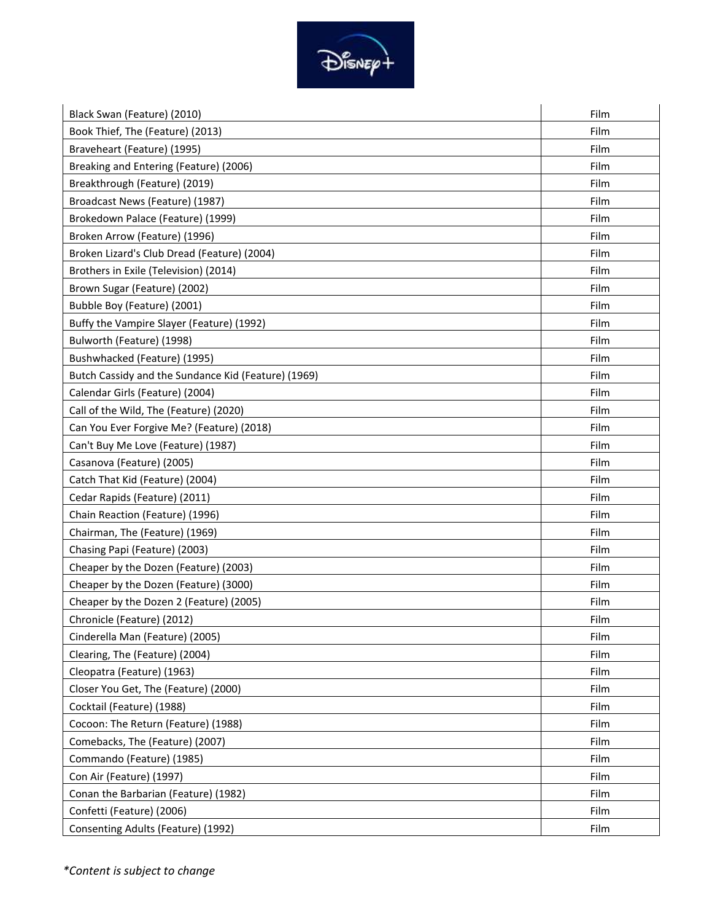

| Black Swan (Feature) (2010)                         | Film |
|-----------------------------------------------------|------|
| Book Thief, The (Feature) (2013)                    | Film |
| Braveheart (Feature) (1995)                         | Film |
| Breaking and Entering (Feature) (2006)              | Film |
| Breakthrough (Feature) (2019)                       | Film |
| Broadcast News (Feature) (1987)                     | Film |
| Brokedown Palace (Feature) (1999)                   | Film |
| Broken Arrow (Feature) (1996)                       | Film |
| Broken Lizard's Club Dread (Feature) (2004)         | Film |
| Brothers in Exile (Television) (2014)               | Film |
| Brown Sugar (Feature) (2002)                        | Film |
| Bubble Boy (Feature) (2001)                         | Film |
| Buffy the Vampire Slayer (Feature) (1992)           | Film |
| Bulworth (Feature) (1998)                           | Film |
| Bushwhacked (Feature) (1995)                        | Film |
| Butch Cassidy and the Sundance Kid (Feature) (1969) | Film |
| Calendar Girls (Feature) (2004)                     | Film |
| Call of the Wild, The (Feature) (2020)              | Film |
| Can You Ever Forgive Me? (Feature) (2018)           | Film |
| Can't Buy Me Love (Feature) (1987)                  | Film |
| Casanova (Feature) (2005)                           | Film |
| Catch That Kid (Feature) (2004)                     | Film |
| Cedar Rapids (Feature) (2011)                       | Film |
| Chain Reaction (Feature) (1996)                     | Film |
| Chairman, The (Feature) (1969)                      | Film |
| Chasing Papi (Feature) (2003)                       | Film |
| Cheaper by the Dozen (Feature) (2003)               | Film |
| Cheaper by the Dozen (Feature) (3000)               | Film |
| Cheaper by the Dozen 2 (Feature) (2005)             | Film |
| Chronicle (Feature) (2012)                          | Film |
| Cinderella Man (Feature) (2005)                     | Film |
| Clearing, The (Feature) (2004)                      | Film |
| Cleopatra (Feature) (1963)                          | Film |
| Closer You Get, The (Feature) (2000)                | Film |
| Cocktail (Feature) (1988)                           | Film |
| Cocoon: The Return (Feature) (1988)                 | Film |
| Comebacks, The (Feature) (2007)                     | Film |
| Commando (Feature) (1985)                           | Film |
| Con Air (Feature) (1997)                            | Film |
| Conan the Barbarian (Feature) (1982)                | Film |
| Confetti (Feature) (2006)                           | Film |
| Consenting Adults (Feature) (1992)                  | Film |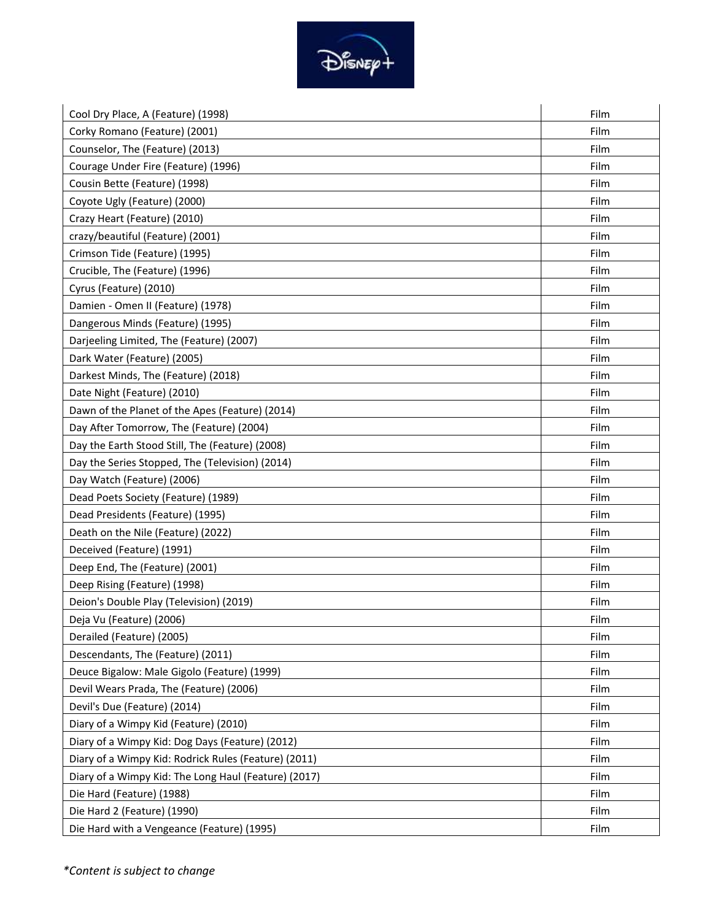

| Cool Dry Place, A (Feature) (1998)                   | Film |
|------------------------------------------------------|------|
| Corky Romano (Feature) (2001)                        | Film |
| Counselor, The (Feature) (2013)                      | Film |
| Courage Under Fire (Feature) (1996)                  | Film |
| Cousin Bette (Feature) (1998)                        | Film |
| Coyote Ugly (Feature) (2000)                         | Film |
| Crazy Heart (Feature) (2010)                         | Film |
| crazy/beautiful (Feature) (2001)                     | Film |
| Crimson Tide (Feature) (1995)                        | Film |
| Crucible, The (Feature) (1996)                       | Film |
| Cyrus (Feature) (2010)                               | Film |
| Damien - Omen II (Feature) (1978)                    | Film |
| Dangerous Minds (Feature) (1995)                     | Film |
| Darjeeling Limited, The (Feature) (2007)             | Film |
| Dark Water (Feature) (2005)                          | Film |
| Darkest Minds, The (Feature) (2018)                  | Film |
| Date Night (Feature) (2010)                          | Film |
| Dawn of the Planet of the Apes (Feature) (2014)      | Film |
| Day After Tomorrow, The (Feature) (2004)             | Film |
| Day the Earth Stood Still, The (Feature) (2008)      | Film |
| Day the Series Stopped, The (Television) (2014)      | Film |
| Day Watch (Feature) (2006)                           | Film |
| Dead Poets Society (Feature) (1989)                  | Film |
| Dead Presidents (Feature) (1995)                     | Film |
| Death on the Nile (Feature) (2022)                   | Film |
| Deceived (Feature) (1991)                            | Film |
| Deep End, The (Feature) (2001)                       | Film |
| Deep Rising (Feature) (1998)                         | Film |
| Deion's Double Play (Television) (2019)              | Film |
| Deja Vu (Feature) (2006)                             | Film |
| Derailed (Feature) (2005)                            | Film |
| Descendants, The (Feature) (2011)                    | Film |
| Deuce Bigalow: Male Gigolo (Feature) (1999)          | Film |
| Devil Wears Prada, The (Feature) (2006)              | Film |
| Devil's Due (Feature) (2014)                         | Film |
| Diary of a Wimpy Kid (Feature) (2010)                | Film |
| Diary of a Wimpy Kid: Dog Days (Feature) (2012)      | Film |
| Diary of a Wimpy Kid: Rodrick Rules (Feature) (2011) | Film |
| Diary of a Wimpy Kid: The Long Haul (Feature) (2017) | Film |
| Die Hard (Feature) (1988)                            | Film |
| Die Hard 2 (Feature) (1990)                          | Film |
| Die Hard with a Vengeance (Feature) (1995)           | Film |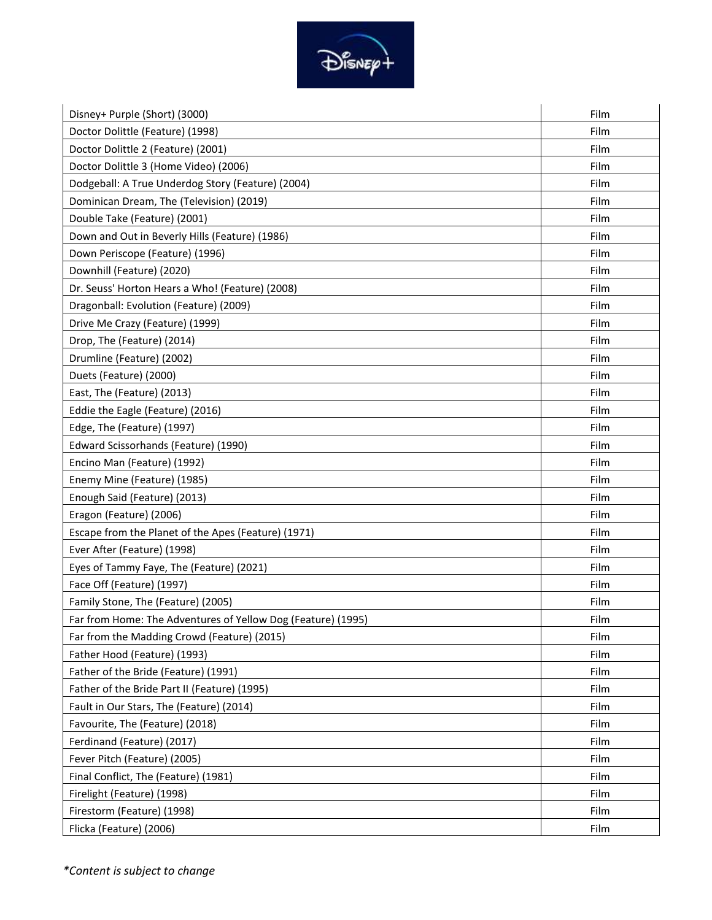

| Disney+ Purple (Short) (3000)                                | Film |
|--------------------------------------------------------------|------|
| Doctor Dolittle (Feature) (1998)                             | Film |
| Doctor Dolittle 2 (Feature) (2001)                           | Film |
| Doctor Dolittle 3 (Home Video) (2006)                        | Film |
| Dodgeball: A True Underdog Story (Feature) (2004)            | Film |
| Dominican Dream, The (Television) (2019)                     | Film |
| Double Take (Feature) (2001)                                 | Film |
| Down and Out in Beverly Hills (Feature) (1986)               | Film |
| Down Periscope (Feature) (1996)                              | Film |
| Downhill (Feature) (2020)                                    | Film |
| Dr. Seuss' Horton Hears a Who! (Feature) (2008)              | Film |
| Dragonball: Evolution (Feature) (2009)                       | Film |
| Drive Me Crazy (Feature) (1999)                              | Film |
| Drop, The (Feature) (2014)                                   | Film |
| Drumline (Feature) (2002)                                    | Film |
| Duets (Feature) (2000)                                       | Film |
| East, The (Feature) (2013)                                   | Film |
| Eddie the Eagle (Feature) (2016)                             | Film |
| Edge, The (Feature) (1997)                                   | Film |
| Edward Scissorhands (Feature) (1990)                         | Film |
| Encino Man (Feature) (1992)                                  | Film |
| Enemy Mine (Feature) (1985)                                  | Film |
| Enough Said (Feature) (2013)                                 | Film |
| Eragon (Feature) (2006)                                      | Film |
| Escape from the Planet of the Apes (Feature) (1971)          | Film |
| Ever After (Feature) (1998)                                  | Film |
| Eyes of Tammy Faye, The (Feature) (2021)                     | Film |
| Face Off (Feature) (1997)                                    | Film |
| Family Stone, The (Feature) (2005)                           | Film |
| Far from Home: The Adventures of Yellow Dog (Feature) (1995) | Film |
| Far from the Madding Crowd (Feature) (2015)                  | Film |
| Father Hood (Feature) (1993)                                 | Film |
| Father of the Bride (Feature) (1991)                         | Film |
| Father of the Bride Part II (Feature) (1995)                 | Film |
| Fault in Our Stars, The (Feature) (2014)                     | Film |
| Favourite, The (Feature) (2018)                              | Film |
| Ferdinand (Feature) (2017)                                   | Film |
| Fever Pitch (Feature) (2005)                                 | Film |
| Final Conflict, The (Feature) (1981)                         | Film |
| Firelight (Feature) (1998)                                   | Film |
| Firestorm (Feature) (1998)                                   | Film |
| Flicka (Feature) (2006)                                      | Film |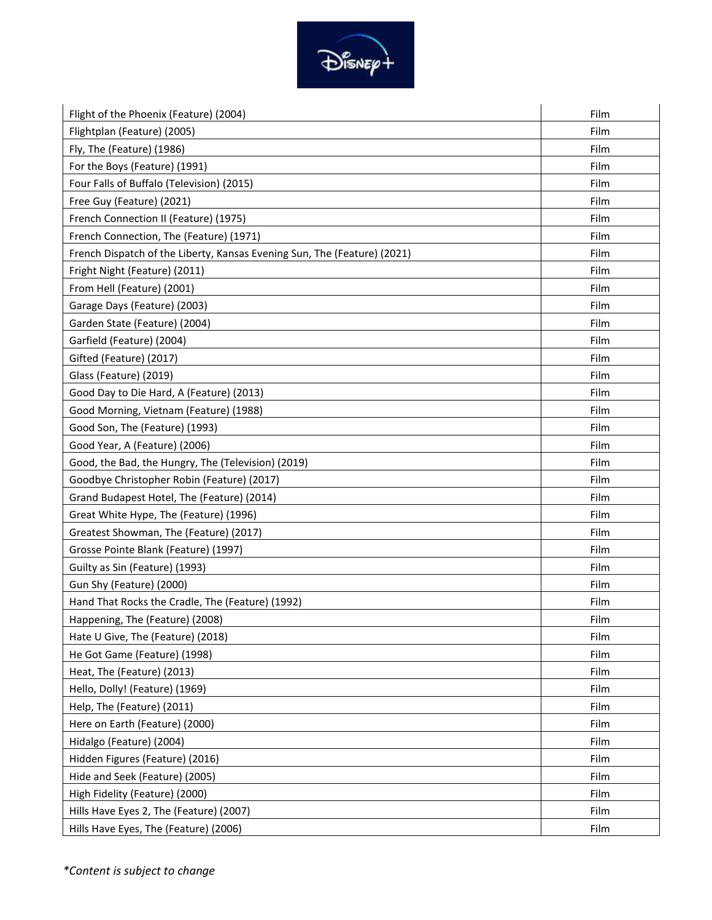

| Flight of the Phoenix (Feature) (2004)                                   | Film |
|--------------------------------------------------------------------------|------|
| Flightplan (Feature) (2005)                                              | Film |
| Fly, The (Feature) (1986)                                                | Film |
| For the Boys (Feature) (1991)                                            | Film |
| Four Falls of Buffalo (Television) (2015)                                | Film |
| Free Guy (Feature) (2021)                                                | Film |
| French Connection II (Feature) (1975)                                    | Film |
| French Connection, The (Feature) (1971)                                  | Film |
| French Dispatch of the Liberty, Kansas Evening Sun, The (Feature) (2021) | Film |
| Fright Night (Feature) (2011)                                            | Film |
| From Hell (Feature) (2001)                                               | Film |
| Garage Days (Feature) (2003)                                             | Film |
| Garden State (Feature) (2004)                                            | Film |
| Garfield (Feature) (2004)                                                | Film |
| Gifted (Feature) (2017)                                                  | Film |
| Glass (Feature) (2019)                                                   | Film |
| Good Day to Die Hard, A (Feature) (2013)                                 | Film |
| Good Morning, Vietnam (Feature) (1988)                                   | Film |
| Good Son, The (Feature) (1993)                                           | Film |
| Good Year, A (Feature) (2006)                                            | Film |
| Good, the Bad, the Hungry, The (Television) (2019)                       | Film |
| Goodbye Christopher Robin (Feature) (2017)                               | Film |
| Grand Budapest Hotel, The (Feature) (2014)                               | Film |
| Great White Hype, The (Feature) (1996)                                   | Film |
| Greatest Showman, The (Feature) (2017)                                   | Film |
| Grosse Pointe Blank (Feature) (1997)                                     | Film |
| Guilty as Sin (Feature) (1993)                                           | Film |
| Gun Shy (Feature) (2000)                                                 | Film |
| Hand That Rocks the Cradle, The (Feature) (1992)                         | Film |
| Happening, The (Feature) (2008)                                          | Film |
| Hate U Give, The (Feature) (2018)                                        | Film |
| He Got Game (Feature) (1998)                                             | Film |
| Heat, The (Feature) (2013)                                               | Film |
| Hello, Dolly! (Feature) (1969)                                           | Film |
| Help, The (Feature) (2011)                                               | Film |
| Here on Earth (Feature) (2000)                                           | Film |
| Hidalgo (Feature) (2004)                                                 | Film |
| Hidden Figures (Feature) (2016)                                          | Film |
| Hide and Seek (Feature) (2005)                                           | Film |
| High Fidelity (Feature) (2000)                                           | Film |
| Hills Have Eyes 2, The (Feature) (2007)                                  | Film |
| Hills Have Eyes, The (Feature) (2006)                                    | Film |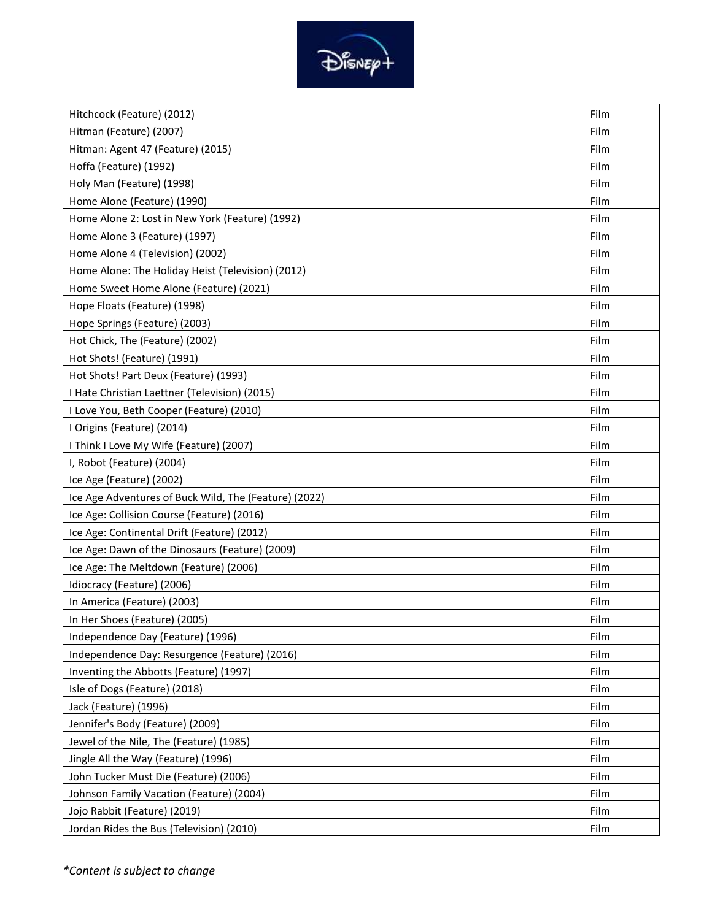

| Hitchcock (Feature) (2012)                            | Film |
|-------------------------------------------------------|------|
| Hitman (Feature) (2007)                               | Film |
| Hitman: Agent 47 (Feature) (2015)                     | Film |
| Hoffa (Feature) (1992)                                | Film |
| Holy Man (Feature) (1998)                             | Film |
| Home Alone (Feature) (1990)                           | Film |
| Home Alone 2: Lost in New York (Feature) (1992)       | Film |
| Home Alone 3 (Feature) (1997)                         | Film |
| Home Alone 4 (Television) (2002)                      | Film |
| Home Alone: The Holiday Heist (Television) (2012)     | Film |
| Home Sweet Home Alone (Feature) (2021)                | Film |
| Hope Floats (Feature) (1998)                          | Film |
| Hope Springs (Feature) (2003)                         | Film |
| Hot Chick, The (Feature) (2002)                       | Film |
| Hot Shots! (Feature) (1991)                           | Film |
| Hot Shots! Part Deux (Feature) (1993)                 | Film |
| I Hate Christian Laettner (Television) (2015)         | Film |
| I Love You, Beth Cooper (Feature) (2010)              | Film |
| I Origins (Feature) (2014)                            | Film |
| I Think I Love My Wife (Feature) (2007)               | Film |
| I, Robot (Feature) (2004)                             | Film |
| Ice Age (Feature) (2002)                              | Film |
| Ice Age Adventures of Buck Wild, The (Feature) (2022) | Film |
| Ice Age: Collision Course (Feature) (2016)            | Film |
| Ice Age: Continental Drift (Feature) (2012)           | Film |
| Ice Age: Dawn of the Dinosaurs (Feature) (2009)       | Film |
| Ice Age: The Meltdown (Feature) (2006)                | Film |
| Idiocracy (Feature) (2006)                            | Film |
| In America (Feature) (2003)                           | Film |
| In Her Shoes (Feature) (2005)                         | Film |
| Independence Day (Feature) (1996)                     | Film |
| Independence Day: Resurgence (Feature) (2016)         | Film |
| Inventing the Abbotts (Feature) (1997)                | Film |
| Isle of Dogs (Feature) (2018)                         | Film |
| Jack (Feature) (1996)                                 | Film |
| Jennifer's Body (Feature) (2009)                      | Film |
| Jewel of the Nile, The (Feature) (1985)               | Film |
| Jingle All the Way (Feature) (1996)                   | Film |
| John Tucker Must Die (Feature) (2006)                 | Film |
| Johnson Family Vacation (Feature) (2004)              | Film |
| Jojo Rabbit (Feature) (2019)                          | Film |
| Jordan Rides the Bus (Television) (2010)              | Film |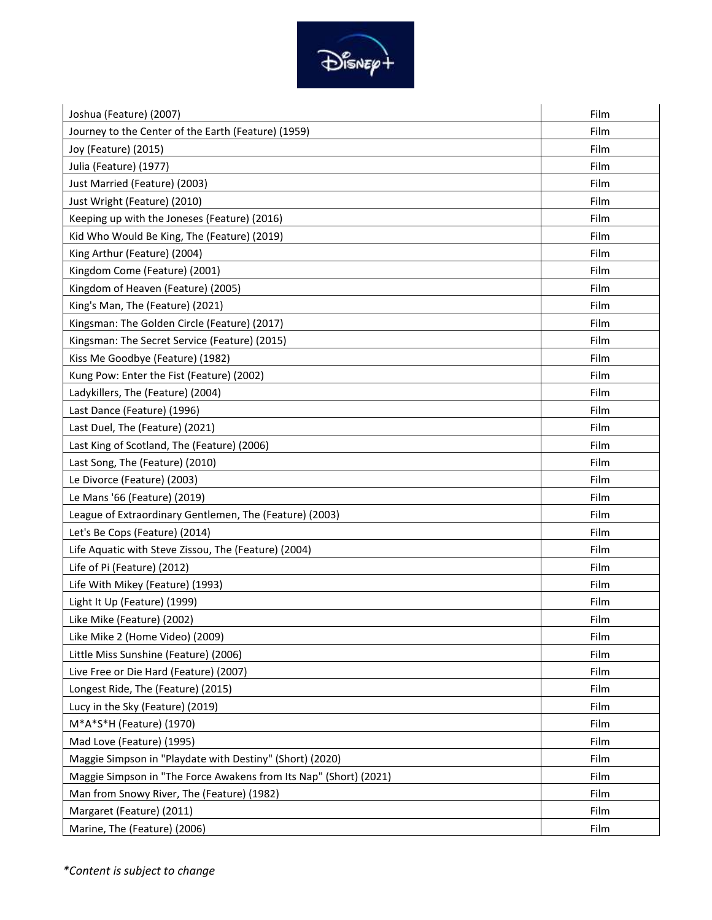

| Joshua (Feature) (2007)                                           | Film |
|-------------------------------------------------------------------|------|
| Journey to the Center of the Earth (Feature) (1959)               | Film |
| Joy (Feature) (2015)                                              | Film |
| Julia (Feature) (1977)                                            | Film |
| Just Married (Feature) (2003)                                     | Film |
| Just Wright (Feature) (2010)                                      | Film |
| Keeping up with the Joneses (Feature) (2016)                      | Film |
| Kid Who Would Be King, The (Feature) (2019)                       | Film |
| King Arthur (Feature) (2004)                                      | Film |
| Kingdom Come (Feature) (2001)                                     | Film |
| Kingdom of Heaven (Feature) (2005)                                | Film |
| King's Man, The (Feature) (2021)                                  | Film |
| Kingsman: The Golden Circle (Feature) (2017)                      | Film |
| Kingsman: The Secret Service (Feature) (2015)                     | Film |
| Kiss Me Goodbye (Feature) (1982)                                  | Film |
| Kung Pow: Enter the Fist (Feature) (2002)                         | Film |
| Ladykillers, The (Feature) (2004)                                 | Film |
| Last Dance (Feature) (1996)                                       | Film |
| Last Duel, The (Feature) (2021)                                   | Film |
| Last King of Scotland, The (Feature) (2006)                       | Film |
| Last Song, The (Feature) (2010)                                   | Film |
| Le Divorce (Feature) (2003)                                       | Film |
| Le Mans '66 (Feature) (2019)                                      | Film |
| League of Extraordinary Gentlemen, The (Feature) (2003)           | Film |
| Let's Be Cops (Feature) (2014)                                    | Film |
| Life Aquatic with Steve Zissou, The (Feature) (2004)              | Film |
| Life of Pi (Feature) (2012)                                       | Film |
| Life With Mikey (Feature) (1993)                                  | Film |
| Light It Up (Feature) (1999)                                      | Film |
| Like Mike (Feature) (2002)                                        | Film |
| Like Mike 2 (Home Video) (2009)                                   | Film |
| Little Miss Sunshine (Feature) (2006)                             | Film |
| Live Free or Die Hard (Feature) (2007)                            | Film |
| Longest Ride, The (Feature) (2015)                                | Film |
| Lucy in the Sky (Feature) (2019)                                  | Film |
| M*A*S*H (Feature) (1970)                                          | Film |
| Mad Love (Feature) (1995)                                         | Film |
| Maggie Simpson in "Playdate with Destiny" (Short) (2020)          | Film |
| Maggie Simpson in "The Force Awakens from Its Nap" (Short) (2021) | Film |
| Man from Snowy River, The (Feature) (1982)                        | Film |
| Margaret (Feature) (2011)                                         | Film |
| Marine, The (Feature) (2006)                                      | Film |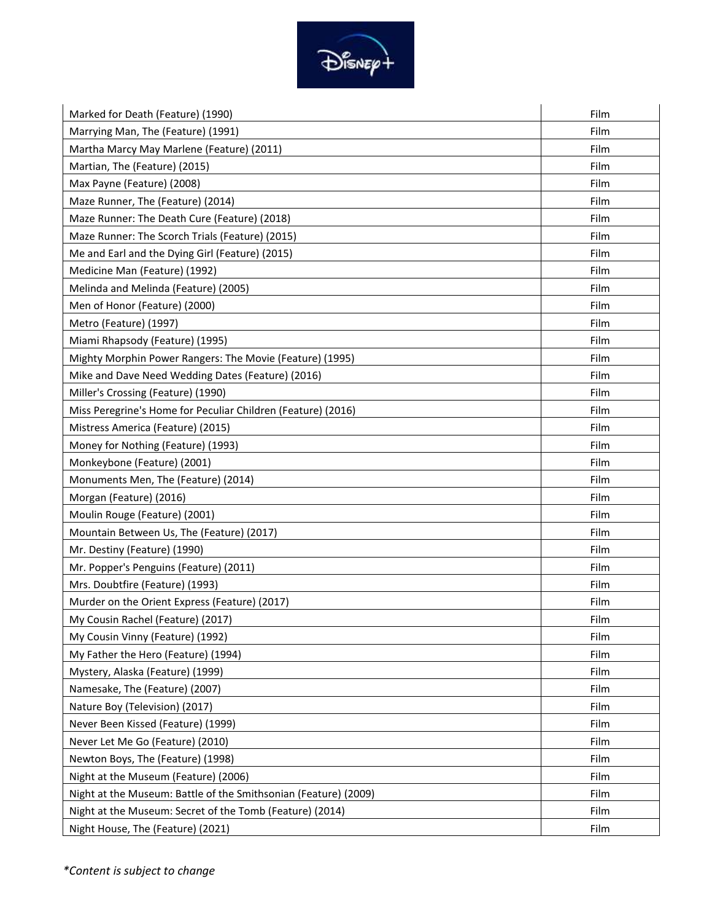

| Marked for Death (Feature) (1990)                               | Film |
|-----------------------------------------------------------------|------|
| Marrying Man, The (Feature) (1991)                              | Film |
| Martha Marcy May Marlene (Feature) (2011)                       | Film |
| Martian, The (Feature) (2015)                                   | Film |
| Max Payne (Feature) (2008)                                      | Film |
| Maze Runner, The (Feature) (2014)                               | Film |
| Maze Runner: The Death Cure (Feature) (2018)                    | Film |
| Maze Runner: The Scorch Trials (Feature) (2015)                 | Film |
| Me and Earl and the Dying Girl (Feature) (2015)                 | Film |
| Medicine Man (Feature) (1992)                                   | Film |
| Melinda and Melinda (Feature) (2005)                            | Film |
| Men of Honor (Feature) (2000)                                   | Film |
| Metro (Feature) (1997)                                          | Film |
| Miami Rhapsody (Feature) (1995)                                 | Film |
| Mighty Morphin Power Rangers: The Movie (Feature) (1995)        | Film |
| Mike and Dave Need Wedding Dates (Feature) (2016)               | Film |
| Miller's Crossing (Feature) (1990)                              | Film |
| Miss Peregrine's Home for Peculiar Children (Feature) (2016)    | Film |
| Mistress America (Feature) (2015)                               | Film |
| Money for Nothing (Feature) (1993)                              | Film |
| Monkeybone (Feature) (2001)                                     | Film |
| Monuments Men, The (Feature) (2014)                             | Film |
| Morgan (Feature) (2016)                                         | Film |
| Moulin Rouge (Feature) (2001)                                   | Film |
| Mountain Between Us, The (Feature) (2017)                       | Film |
| Mr. Destiny (Feature) (1990)                                    | Film |
| Mr. Popper's Penguins (Feature) (2011)                          | Film |
| Mrs. Doubtfire (Feature) (1993)                                 | Film |
| Murder on the Orient Express (Feature) (2017)                   | Film |
| My Cousin Rachel (Feature) (2017)                               | Film |
| My Cousin Vinny (Feature) (1992)                                | Film |
| My Father the Hero (Feature) (1994)                             | Film |
| Mystery, Alaska (Feature) (1999)                                | Film |
| Namesake, The (Feature) (2007)                                  | Film |
| Nature Boy (Television) (2017)                                  | Film |
| Never Been Kissed (Feature) (1999)                              | Film |
| Never Let Me Go (Feature) (2010)                                | Film |
| Newton Boys, The (Feature) (1998)                               | Film |
| Night at the Museum (Feature) (2006)                            | Film |
| Night at the Museum: Battle of the Smithsonian (Feature) (2009) | Film |
| Night at the Museum: Secret of the Tomb (Feature) (2014)        | Film |
| Night House, The (Feature) (2021)                               | Film |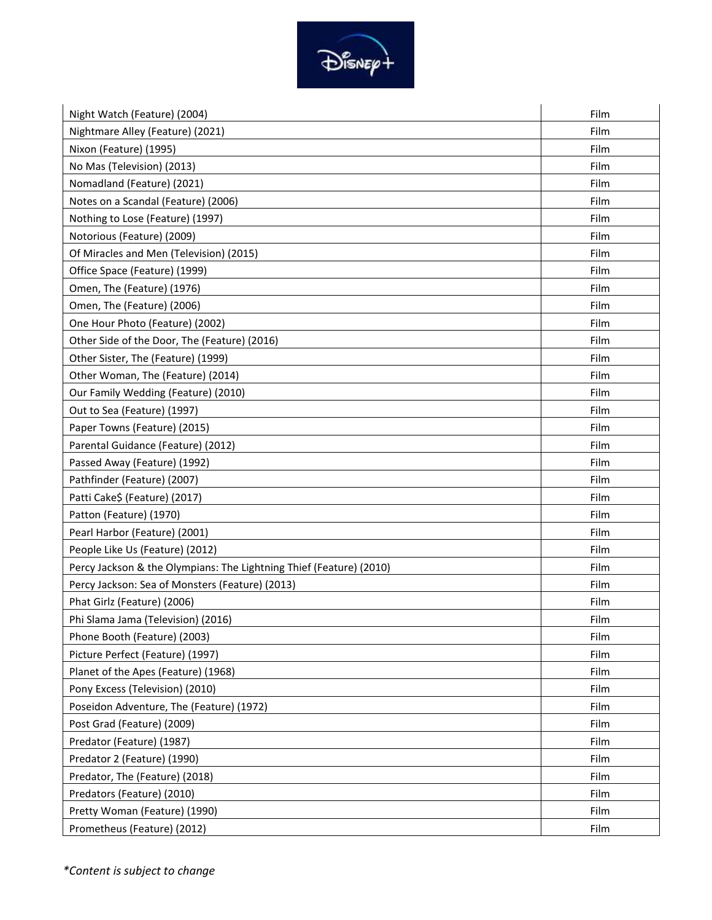

| Night Watch (Feature) (2004)                                        | Film |
|---------------------------------------------------------------------|------|
| Nightmare Alley (Feature) (2021)                                    | Film |
| Nixon (Feature) (1995)                                              | Film |
| No Mas (Television) (2013)                                          | Film |
| Nomadland (Feature) (2021)                                          | Film |
| Notes on a Scandal (Feature) (2006)                                 | Film |
| Nothing to Lose (Feature) (1997)                                    | Film |
| Notorious (Feature) (2009)                                          | Film |
| Of Miracles and Men (Television) (2015)                             | Film |
| Office Space (Feature) (1999)                                       | Film |
| Omen, The (Feature) (1976)                                          | Film |
| Omen, The (Feature) (2006)                                          | Film |
| One Hour Photo (Feature) (2002)                                     | Film |
| Other Side of the Door, The (Feature) (2016)                        | Film |
| Other Sister, The (Feature) (1999)                                  | Film |
| Other Woman, The (Feature) (2014)                                   | Film |
| Our Family Wedding (Feature) (2010)                                 | Film |
| Out to Sea (Feature) (1997)                                         | Film |
| Paper Towns (Feature) (2015)                                        | Film |
| Parental Guidance (Feature) (2012)                                  | Film |
| Passed Away (Feature) (1992)                                        | Film |
| Pathfinder (Feature) (2007)                                         | Film |
| Patti Cake\$ (Feature) (2017)                                       | Film |
| Patton (Feature) (1970)                                             | Film |
| Pearl Harbor (Feature) (2001)                                       | Film |
| People Like Us (Feature) (2012)                                     | Film |
| Percy Jackson & the Olympians: The Lightning Thief (Feature) (2010) | Film |
| Percy Jackson: Sea of Monsters (Feature) (2013)                     | Film |
| Phat Girlz (Feature) (2006)                                         | Film |
| Phi Slama Jama (Television) (2016)                                  | Film |
| Phone Booth (Feature) (2003)                                        | Film |
| Picture Perfect (Feature) (1997)                                    | Film |
| Planet of the Apes (Feature) (1968)                                 | Film |
| Pony Excess (Television) (2010)                                     | Film |
| Poseidon Adventure, The (Feature) (1972)                            | Film |
| Post Grad (Feature) (2009)                                          | Film |
| Predator (Feature) (1987)                                           | Film |
| Predator 2 (Feature) (1990)                                         | Film |
| Predator, The (Feature) (2018)                                      | Film |
| Predators (Feature) (2010)                                          | Film |
| Pretty Woman (Feature) (1990)                                       | Film |
| Prometheus (Feature) (2012)                                         | Film |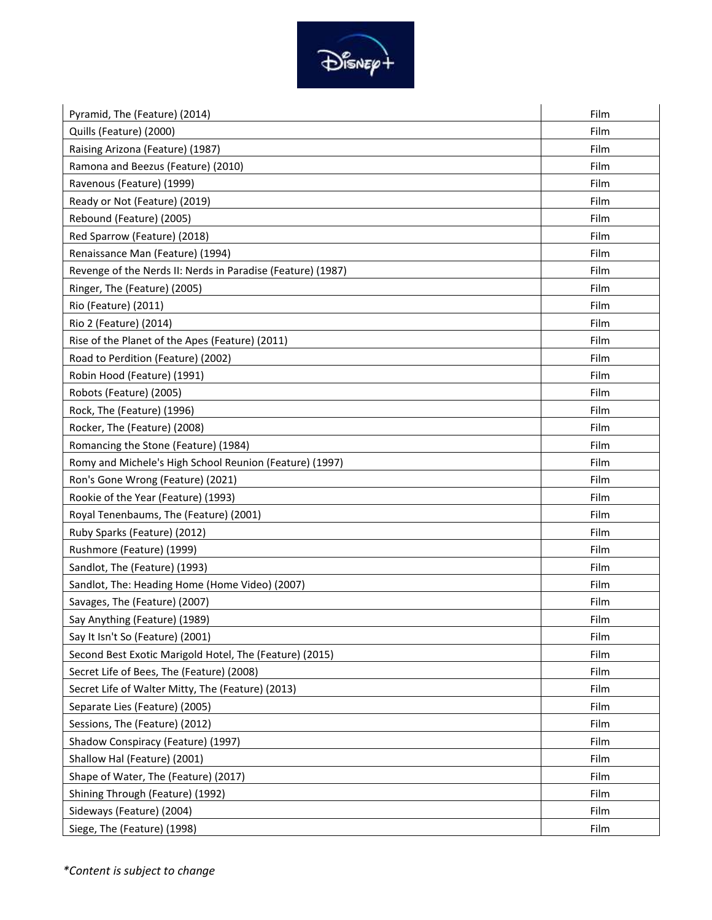

| Pyramid, The (Feature) (2014)                               | Film |
|-------------------------------------------------------------|------|
| Quills (Feature) (2000)                                     | Film |
| Raising Arizona (Feature) (1987)                            | Film |
| Ramona and Beezus (Feature) (2010)                          | Film |
| Ravenous (Feature) (1999)                                   | Film |
| Ready or Not (Feature) (2019)                               | Film |
| Rebound (Feature) (2005)                                    | Film |
| Red Sparrow (Feature) (2018)                                | Film |
| Renaissance Man (Feature) (1994)                            | Film |
| Revenge of the Nerds II: Nerds in Paradise (Feature) (1987) | Film |
| Ringer, The (Feature) (2005)                                | Film |
| Rio (Feature) (2011)                                        | Film |
| Rio 2 (Feature) (2014)                                      | Film |
| Rise of the Planet of the Apes (Feature) (2011)             | Film |
| Road to Perdition (Feature) (2002)                          | Film |
| Robin Hood (Feature) (1991)                                 | Film |
| Robots (Feature) (2005)                                     | Film |
| Rock, The (Feature) (1996)                                  | Film |
| Rocker, The (Feature) (2008)                                | Film |
| Romancing the Stone (Feature) (1984)                        | Film |
| Romy and Michele's High School Reunion (Feature) (1997)     | Film |
| Ron's Gone Wrong (Feature) (2021)                           | Film |
| Rookie of the Year (Feature) (1993)                         | Film |
| Royal Tenenbaums, The (Feature) (2001)                      | Film |
| Ruby Sparks (Feature) (2012)                                | Film |
| Rushmore (Feature) (1999)                                   | Film |
| Sandlot, The (Feature) (1993)                               | Film |
| Sandlot, The: Heading Home (Home Video) (2007)              | Film |
| Savages, The (Feature) (2007)                               | Film |
| Say Anything (Feature) (1989)                               | Film |
| Say It Isn't So (Feature) (2001)                            | Film |
| Second Best Exotic Marigold Hotel, The (Feature) (2015)     | Film |
| Secret Life of Bees, The (Feature) (2008)                   | Film |
| Secret Life of Walter Mitty, The (Feature) (2013)           | Film |
| Separate Lies (Feature) (2005)                              | Film |
| Sessions, The (Feature) (2012)                              | Film |
| Shadow Conspiracy (Feature) (1997)                          | Film |
| Shallow Hal (Feature) (2001)                                | Film |
| Shape of Water, The (Feature) (2017)                        | Film |
| Shining Through (Feature) (1992)                            | Film |
| Sideways (Feature) (2004)                                   | Film |
| Siege, The (Feature) (1998)                                 | Film |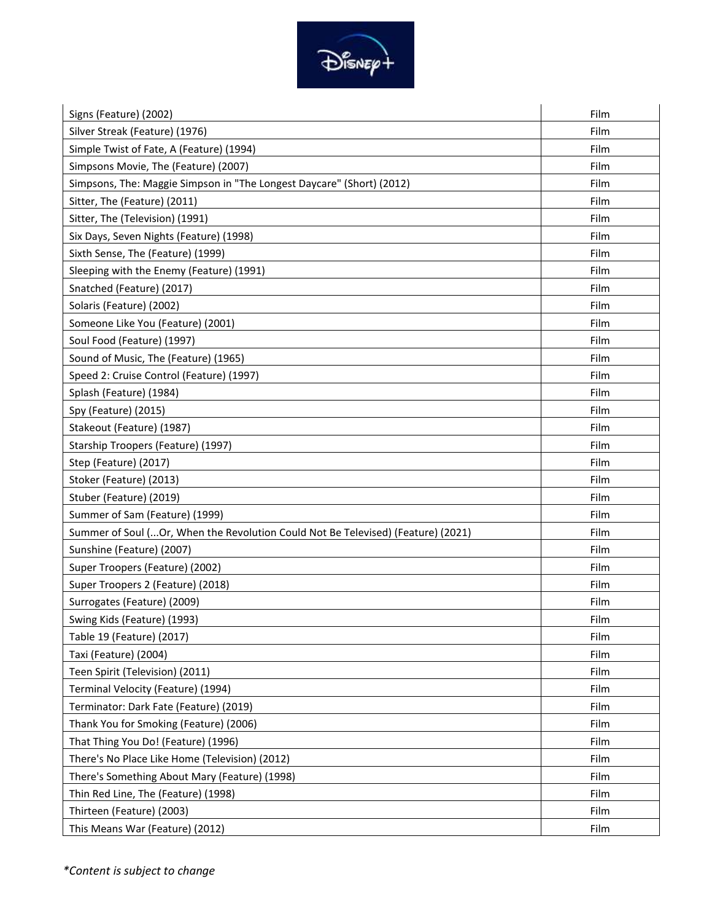

| Signs (Feature) (2002)                                                            | Film |
|-----------------------------------------------------------------------------------|------|
| Silver Streak (Feature) (1976)                                                    | Film |
| Simple Twist of Fate, A (Feature) (1994)                                          | Film |
| Simpsons Movie, The (Feature) (2007)                                              | Film |
| Simpsons, The: Maggie Simpson in "The Longest Daycare" (Short) (2012)             | Film |
| Sitter, The (Feature) (2011)                                                      | Film |
| Sitter, The (Television) (1991)                                                   | Film |
| Six Days, Seven Nights (Feature) (1998)                                           | Film |
| Sixth Sense, The (Feature) (1999)                                                 | Film |
| Sleeping with the Enemy (Feature) (1991)                                          | Film |
| Snatched (Feature) (2017)                                                         | Film |
| Solaris (Feature) (2002)                                                          | Film |
| Someone Like You (Feature) (2001)                                                 | Film |
| Soul Food (Feature) (1997)                                                        | Film |
| Sound of Music, The (Feature) (1965)                                              | Film |
| Speed 2: Cruise Control (Feature) (1997)                                          | Film |
| Splash (Feature) (1984)                                                           | Film |
| Spy (Feature) (2015)                                                              | Film |
| Stakeout (Feature) (1987)                                                         | Film |
| Starship Troopers (Feature) (1997)                                                | Film |
| Step (Feature) (2017)                                                             | Film |
| Stoker (Feature) (2013)                                                           | Film |
| Stuber (Feature) (2019)                                                           | Film |
| Summer of Sam (Feature) (1999)                                                    | Film |
| Summer of Soul ( Or, When the Revolution Could Not Be Televised) (Feature) (2021) | Film |
| Sunshine (Feature) (2007)                                                         | Film |
| Super Troopers (Feature) (2002)                                                   | Film |
| Super Troopers 2 (Feature) (2018)                                                 | Film |
| Surrogates (Feature) (2009)                                                       | Film |
| Swing Kids (Feature) (1993)                                                       | Film |
| Table 19 (Feature) (2017)                                                         | Film |
| Taxi (Feature) (2004)                                                             | Film |
| Teen Spirit (Television) (2011)                                                   | Film |
| Terminal Velocity (Feature) (1994)                                                | Film |
| Terminator: Dark Fate (Feature) (2019)                                            | Film |
| Thank You for Smoking (Feature) (2006)                                            | Film |
| That Thing You Do! (Feature) (1996)                                               | Film |
| There's No Place Like Home (Television) (2012)                                    | Film |
| There's Something About Mary (Feature) (1998)                                     | Film |
| Thin Red Line, The (Feature) (1998)                                               | Film |
| Thirteen (Feature) (2003)                                                         | Film |
| This Means War (Feature) (2012)                                                   | Film |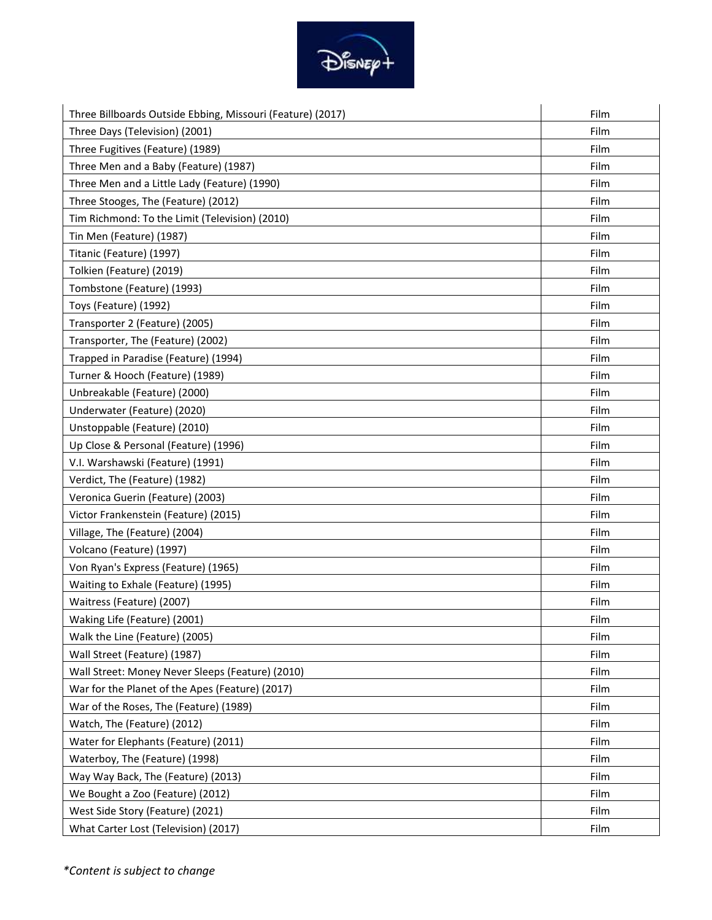

| Three Billboards Outside Ebbing, Missouri (Feature) (2017) | Film |
|------------------------------------------------------------|------|
| Three Days (Television) (2001)                             | Film |
| Three Fugitives (Feature) (1989)                           | Film |
| Three Men and a Baby (Feature) (1987)                      | Film |
| Three Men and a Little Lady (Feature) (1990)               | Film |
| Three Stooges, The (Feature) (2012)                        | Film |
| Tim Richmond: To the Limit (Television) (2010)             | Film |
| Tin Men (Feature) (1987)                                   | Film |
| Titanic (Feature) (1997)                                   | Film |
| Tolkien (Feature) (2019)                                   | Film |
| Tombstone (Feature) (1993)                                 | Film |
| Toys (Feature) (1992)                                      | Film |
| Transporter 2 (Feature) (2005)                             | Film |
| Transporter, The (Feature) (2002)                          | Film |
| Trapped in Paradise (Feature) (1994)                       | Film |
| Turner & Hooch (Feature) (1989)                            | Film |
| Unbreakable (Feature) (2000)                               | Film |
| Underwater (Feature) (2020)                                | Film |
| Unstoppable (Feature) (2010)                               | Film |
| Up Close & Personal (Feature) (1996)                       | Film |
| V.I. Warshawski (Feature) (1991)                           | Film |
| Verdict, The (Feature) (1982)                              | Film |
| Veronica Guerin (Feature) (2003)                           | Film |
| Victor Frankenstein (Feature) (2015)                       | Film |
| Village, The (Feature) (2004)                              | Film |
| Volcano (Feature) (1997)                                   | Film |
| Von Ryan's Express (Feature) (1965)                        | Film |
| Waiting to Exhale (Feature) (1995)                         | Film |
| Waitress (Feature) (2007)                                  | Film |
| Waking Life (Feature) (2001)                               | Film |
| Walk the Line (Feature) (2005)                             | Film |
| Wall Street (Feature) (1987)                               | Film |
| Wall Street: Money Never Sleeps (Feature) (2010)           | Film |
| War for the Planet of the Apes (Feature) (2017)            | Film |
| War of the Roses, The (Feature) (1989)                     | Film |
| Watch, The (Feature) (2012)                                | Film |
| Water for Elephants (Feature) (2011)                       | Film |
| Waterboy, The (Feature) (1998)                             | Film |
| Way Way Back, The (Feature) (2013)                         | Film |
| We Bought a Zoo (Feature) (2012)                           | Film |
| West Side Story (Feature) (2021)                           | Film |
| What Carter Lost (Television) (2017)                       | Film |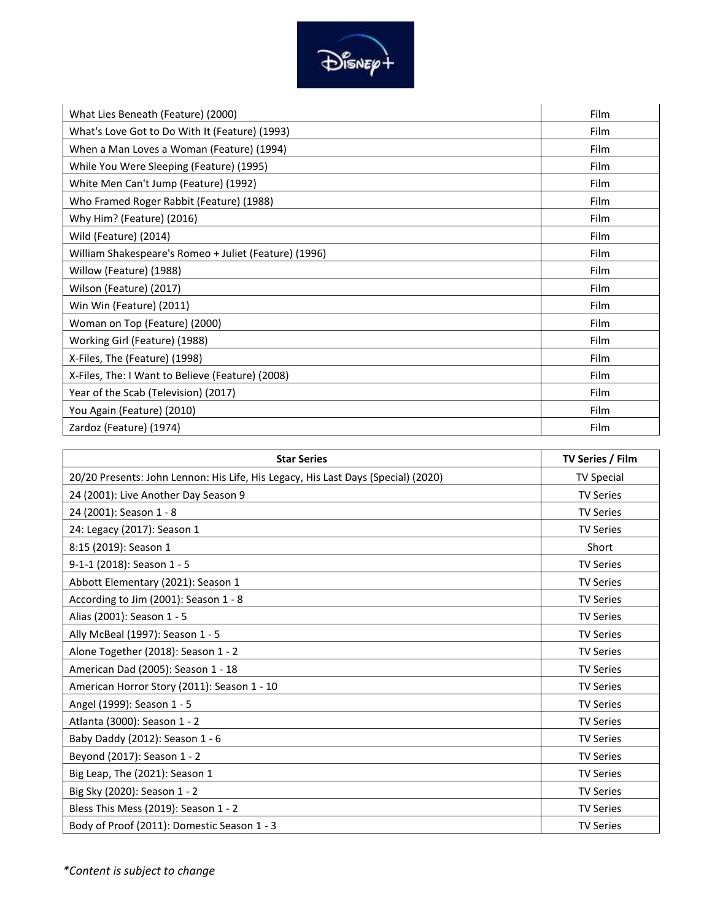

| What Lies Beneath (Feature) (2000)                    | Film        |
|-------------------------------------------------------|-------------|
| What's Love Got to Do With It (Feature) (1993)        | Film        |
| When a Man Loves a Woman (Feature) (1994)             | Film        |
| While You Were Sleeping (Feature) (1995)              | Film        |
| White Men Can't Jump (Feature) (1992)                 | Film        |
| Who Framed Roger Rabbit (Feature) (1988)              | Film        |
| Why Him? (Feature) (2016)                             | <b>Film</b> |
| Wild (Feature) (2014)                                 | <b>Film</b> |
| William Shakespeare's Romeo + Juliet (Feature) (1996) | Film        |
| Willow (Feature) (1988)                               | Film        |
| Wilson (Feature) (2017)                               | Film        |
| Win Win (Feature) (2011)                              | Film        |
| Woman on Top (Feature) (2000)                         | Film        |
| Working Girl (Feature) (1988)                         | Film        |
| X-Files, The (Feature) (1998)                         | Film        |
| X-Files, The: I Want to Believe (Feature) (2008)      | Film        |
| Year of the Scab (Television) (2017)                  | Film        |
| You Again (Feature) (2010)                            | Film        |
| Zardoz (Feature) (1974)                               | Film        |

| <b>Star Series</b>                                                                | TV Series / Film  |
|-----------------------------------------------------------------------------------|-------------------|
| 20/20 Presents: John Lennon: His Life, His Legacy, His Last Days (Special) (2020) | <b>TV Special</b> |
| 24 (2001): Live Another Day Season 9                                              | <b>TV Series</b>  |
| 24 (2001): Season 1 - 8                                                           | <b>TV Series</b>  |
| 24: Legacy (2017): Season 1                                                       | <b>TV Series</b>  |
| 8:15 (2019): Season 1                                                             | Short             |
| 9-1-1 (2018): Season 1 - 5                                                        | <b>TV Series</b>  |
| Abbott Elementary (2021): Season 1                                                | <b>TV Series</b>  |
| According to Jim (2001): Season 1 - 8                                             | <b>TV Series</b>  |
| Alias (2001): Season 1 - 5                                                        | <b>TV Series</b>  |
| Ally McBeal (1997): Season 1 - 5                                                  | <b>TV Series</b>  |
| Alone Together (2018): Season 1 - 2                                               | <b>TV Series</b>  |
| American Dad (2005): Season 1 - 18                                                | <b>TV Series</b>  |
| American Horror Story (2011): Season 1 - 10                                       | <b>TV Series</b>  |
| Angel (1999): Season 1 - 5                                                        | <b>TV Series</b>  |
| Atlanta (3000): Season 1 - 2                                                      | <b>TV Series</b>  |
| Baby Daddy (2012): Season 1 - 6                                                   | <b>TV Series</b>  |
| Beyond (2017): Season 1 - 2                                                       | <b>TV Series</b>  |
| Big Leap, The (2021): Season 1                                                    | <b>TV Series</b>  |
| Big Sky (2020): Season 1 - 2                                                      | <b>TV Series</b>  |
| Bless This Mess (2019): Season 1 - 2                                              | <b>TV Series</b>  |
| Body of Proof (2011): Domestic Season 1 - 3                                       | <b>TV Series</b>  |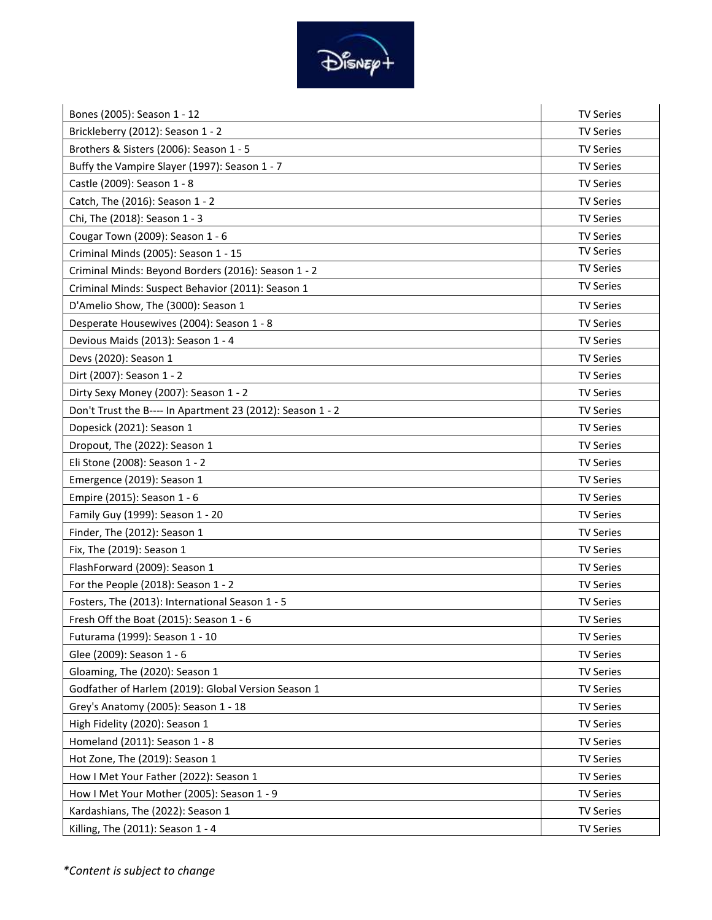

| Bones (2005): Season 1 - 12                                | <b>TV Series</b> |
|------------------------------------------------------------|------------------|
| Brickleberry (2012): Season 1 - 2                          | <b>TV Series</b> |
| Brothers & Sisters (2006): Season 1 - 5                    | <b>TV Series</b> |
| Buffy the Vampire Slayer (1997): Season 1 - 7              | <b>TV Series</b> |
| Castle (2009): Season 1 - 8                                | <b>TV Series</b> |
| Catch, The (2016): Season 1 - 2                            | <b>TV Series</b> |
| Chi, The (2018): Season 1 - 3                              | <b>TV Series</b> |
| Cougar Town (2009): Season 1 - 6                           | <b>TV Series</b> |
| Criminal Minds (2005): Season 1 - 15                       | <b>TV Series</b> |
| Criminal Minds: Beyond Borders (2016): Season 1 - 2        | <b>TV Series</b> |
| Criminal Minds: Suspect Behavior (2011): Season 1          | <b>TV Series</b> |
| D'Amelio Show, The (3000): Season 1                        | <b>TV Series</b> |
| Desperate Housewives (2004): Season 1 - 8                  | <b>TV Series</b> |
| Devious Maids (2013): Season 1 - 4                         | <b>TV Series</b> |
| Devs (2020): Season 1                                      | <b>TV Series</b> |
| Dirt (2007): Season 1 - 2                                  | <b>TV Series</b> |
| Dirty Sexy Money (2007): Season 1 - 2                      | <b>TV Series</b> |
| Don't Trust the B---- In Apartment 23 (2012): Season 1 - 2 | <b>TV Series</b> |
| Dopesick (2021): Season 1                                  | <b>TV Series</b> |
| Dropout, The (2022): Season 1                              | <b>TV Series</b> |
| Eli Stone (2008): Season 1 - 2                             | <b>TV Series</b> |
| Emergence (2019): Season 1                                 | <b>TV Series</b> |
| Empire (2015): Season 1 - 6                                | <b>TV Series</b> |
| Family Guy (1999): Season 1 - 20                           | <b>TV Series</b> |
| Finder, The (2012): Season 1                               | <b>TV Series</b> |
| Fix, The (2019): Season 1                                  | <b>TV Series</b> |
| FlashForward (2009): Season 1                              | <b>TV Series</b> |
| For the People (2018): Season 1 - 2                        | <b>TV Series</b> |
| Fosters, The (2013): International Season 1 - 5            | <b>TV Series</b> |
| Fresh Off the Boat (2015): Season 1 - 6                    | TV Series        |
| Futurama (1999): Season 1 - 10                             | <b>TV Series</b> |
| Glee (2009): Season 1 - 6                                  | <b>TV Series</b> |
| Gloaming, The (2020): Season 1                             | <b>TV Series</b> |
| Godfather of Harlem (2019): Global Version Season 1        | <b>TV Series</b> |
| Grey's Anatomy (2005): Season 1 - 18                       | <b>TV Series</b> |
| High Fidelity (2020): Season 1                             | <b>TV Series</b> |
| Homeland (2011): Season 1 - 8                              | <b>TV Series</b> |
| Hot Zone, The (2019): Season 1                             | <b>TV Series</b> |
| How I Met Your Father (2022): Season 1                     | <b>TV Series</b> |
| How I Met Your Mother (2005): Season 1 - 9                 | <b>TV Series</b> |
| Kardashians, The (2022): Season 1                          | <b>TV Series</b> |
| Killing, The (2011): Season 1 - 4                          | <b>TV Series</b> |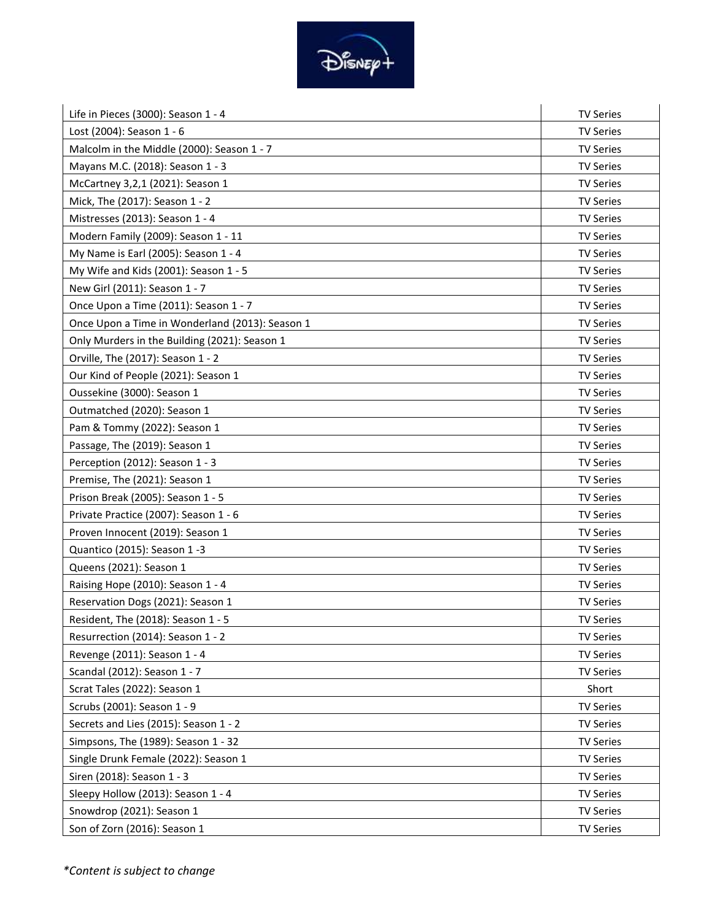

| Life in Pieces (3000): Season 1 - 4             | <b>TV Series</b> |
|-------------------------------------------------|------------------|
| Lost (2004): Season 1 - 6                       | <b>TV Series</b> |
| Malcolm in the Middle (2000): Season 1 - 7      | <b>TV Series</b> |
| Mayans M.C. (2018): Season 1 - 3                | <b>TV Series</b> |
| McCartney 3,2,1 (2021): Season 1                | <b>TV Series</b> |
| Mick, The (2017): Season 1 - 2                  | <b>TV Series</b> |
| Mistresses (2013): Season 1 - 4                 | <b>TV Series</b> |
| Modern Family (2009): Season 1 - 11             | <b>TV Series</b> |
| My Name is Earl (2005): Season 1 - 4            | <b>TV Series</b> |
| My Wife and Kids (2001): Season 1 - 5           | <b>TV Series</b> |
| New Girl (2011): Season 1 - 7                   | <b>TV Series</b> |
| Once Upon a Time (2011): Season 1 - 7           | <b>TV Series</b> |
| Once Upon a Time in Wonderland (2013): Season 1 | <b>TV Series</b> |
| Only Murders in the Building (2021): Season 1   | <b>TV Series</b> |
| Orville, The (2017): Season 1 - 2               | <b>TV Series</b> |
| Our Kind of People (2021): Season 1             | <b>TV Series</b> |
| Oussekine (3000): Season 1                      | <b>TV Series</b> |
| Outmatched (2020): Season 1                     | <b>TV Series</b> |
| Pam & Tommy (2022): Season 1                    | <b>TV Series</b> |
| Passage, The (2019): Season 1                   | <b>TV Series</b> |
| Perception (2012): Season 1 - 3                 | <b>TV Series</b> |
| Premise, The (2021): Season 1                   | <b>TV Series</b> |
| Prison Break (2005): Season 1 - 5               | <b>TV Series</b> |
| Private Practice (2007): Season 1 - 6           | <b>TV Series</b> |
| Proven Innocent (2019): Season 1                | <b>TV Series</b> |
| Quantico (2015): Season 1 -3                    | <b>TV Series</b> |
| Queens (2021): Season 1                         | <b>TV Series</b> |
| Raising Hope (2010): Season 1 - 4               | <b>TV Series</b> |
| Reservation Dogs (2021): Season 1               | <b>TV Series</b> |
| Resident, The (2018): Season 1 - 5              | <b>TV Series</b> |
| Resurrection (2014): Season 1 - 2               | <b>TV Series</b> |
| Revenge (2011): Season 1 - 4                    | <b>TV Series</b> |
| Scandal (2012): Season 1 - 7                    | <b>TV Series</b> |
| Scrat Tales (2022): Season 1                    | Short            |
| Scrubs (2001): Season 1 - 9                     | <b>TV Series</b> |
| Secrets and Lies (2015): Season 1 - 2           | <b>TV Series</b> |
| Simpsons, The (1989): Season 1 - 32             | <b>TV Series</b> |
| Single Drunk Female (2022): Season 1            | <b>TV Series</b> |
| Siren (2018): Season 1 - 3                      | <b>TV Series</b> |
| Sleepy Hollow (2013): Season 1 - 4              | <b>TV Series</b> |
| Snowdrop (2021): Season 1                       | <b>TV Series</b> |
| Son of Zorn (2016): Season 1                    | <b>TV Series</b> |